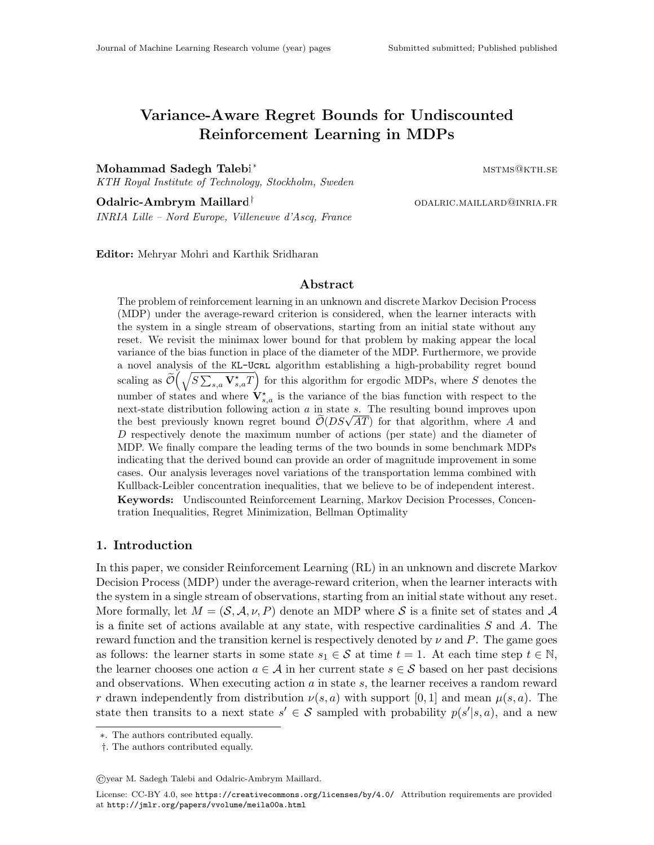# Variance-Aware Regret Bounds for Undiscounted Reinforcement Learning in MDPs

Mohammad Sadegh Talebi<sup>∗</sup> mstms@kth.se

KTH Royal Institute of Technology, Stockholm, Sweden

Odalric-Ambrym Maillard<sup>†</sup> and the complete odalric-mail and the odalric-mail and the complete of the complete o

INRIA Lille – Nord Europe, Villeneuve d'Ascq, France

Editor: Mehryar Mohri and Karthik Sridharan

### Abstract

The problem of reinforcement learning in an unknown and discrete Markov Decision Process (MDP) under the average-reward criterion is considered, when the learner interacts with the system in a single stream of observations, starting from an initial state without any reset. We revisit the minimax lower bound for that problem by making appear the local variance of the bias function in place of the diameter of the MDP. Furthermore, we provide a novel analysis of the KL-UCRL algorithm establishing a high-probability regret bound scaling as  $\tilde{\mathcal{O}}(\sqrt{S\sum_{s,a} \mathbf{V}^\star_{s,a}T})$  for this algorithm for ergodic MDPs, where S denotes the number of states and where  $V_{s,a}^{\star}$  is the variance of the bias function with respect to the next-state distribution following action a in state s. The resulting bound improves upon the best previously known regret bound  $\tilde{\mathcal{O}}(DS\sqrt{AT})$  for that algorithm, where A and D respectively denote the maximum number of actions (per state) and the diameter of MDP. We finally compare the leading terms of the two bounds in some benchmark MDPs indicating that the derived bound can provide an order of magnitude improvement in some cases. Our analysis leverages novel variations of the transportation lemma combined with Kullback-Leibler concentration inequalities, that we believe to be of independent interest. Keywords: Undiscounted Reinforcement Learning, Markov Decision Processes, Concentration Inequalities, Regret Minimization, Bellman Optimality

# 1. Introduction

In this paper, we consider Reinforcement Learning (RL) in an unknown and discrete Markov Decision Process (MDP) under the average-reward criterion, when the learner interacts with the system in a single stream of observations, starting from an initial state without any reset. More formally, let  $M = (\mathcal{S}, \mathcal{A}, \nu, P)$  denote an MDP where S is a finite set of states and A is a finite set of actions available at any state, with respective cardinalities  $S$  and  $A$ . The reward function and the transition kernel is respectively denoted by  $\nu$  and P. The game goes as follows: the learner starts in some state  $s_1 \in \mathcal{S}$  at time  $t = 1$ . At each time step  $t \in \mathbb{N}$ , the learner chooses one action  $a \in \mathcal{A}$  in her current state  $s \in \mathcal{S}$  based on her past decisions and observations. When executing action a in state s, the learner receives a random reward r drawn independently from distribution  $\nu(s, a)$  with support [0, 1] and mean  $\mu(s, a)$ . The state then transits to a next state  $s' \in \mathcal{S}$  sampled with probability  $p(s'|s, a)$ , and a new

©year M. Sadegh Talebi and Odalric-Ambrym Maillard.

<sup>∗</sup>. The authors contributed equally.

<sup>†</sup>. The authors contributed equally.

License: CC-BY 4.0, see <https://creativecommons.org/licenses/by/4.0/>. Attribution requirements are provided at <http://jmlr.org/papers/vvolume/meila00a.html>.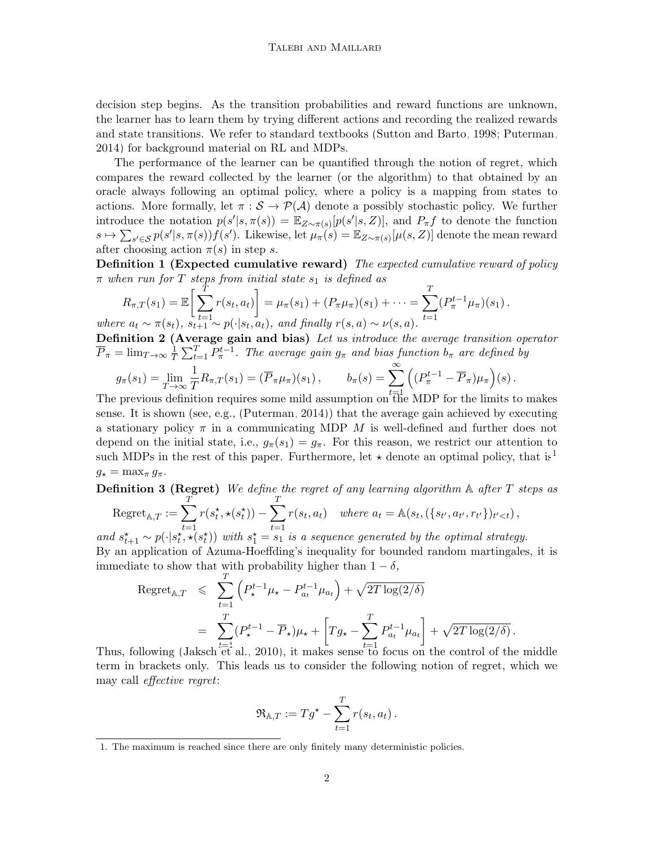decision step begins. As the transition probabilities and reward functions are unknown, the learner has to learn them by trying different actions and recording the realized rewards and state transitions. We refer to standard textbooks [\(Sutton and Barto, 1998;](#page-14-0) [Puterman,](#page-14-1) [2014\)](#page-14-1) for background material on RL and MDPs.

The performance of the learner can be quantified through the notion of regret, which compares the reward collected by the learner (or the algorithm) to that obtained by an oracle always following an optimal policy, where a policy is a mapping from states to actions. More formally, let  $\pi : \mathcal{S} \to \mathcal{P}(\mathcal{A})$  denote a possibly stochastic policy. We further introduce the notation  $p(s'|s, \pi(s)) = \mathbb{E}_{Z \sim \pi(s)}[p(s'|s, Z)],$  and  $P_{\pi}f$  to denote the function  $s \mapsto \sum_{s' \in \mathcal{S}} p(s'|s, \pi(s)) f(s')$ . Likewise, let  $\mu_{\pi}(s) = \mathbb{E}_{Z \sim \pi(s)}[\mu(s, Z)]$  denote the mean reward after choosing action  $\pi(s)$  in step s.

**Definition 1 (Expected cumulative reward)** The expected cumulative reward of policy  $\pi$  when run for T steps from initial state  $s_1$  is defined as

$$
R_{\pi,T}(s_1) = \mathbb{E}\bigg[\sum_{t=1}^T r(s_t, a_t)\bigg] = \mu_{\pi}(s_1) + (P_{\pi}\mu_{\pi})(s_1) + \cdots = \sum_{t=1}^T (P_{\pi}^{t-1}\mu_{\pi})(s_1).
$$
  
where  $a_t \sim \pi(s_t)$ ,  $s_{t+1} \sim p(\cdot|s_t, a_t)$ , and finally  $r(s, a) \sim \nu(s, a)$ .

<span id="page-1-1"></span>Definition 2 (Average gain and bias) Let us introduce the average transition operator  $\overline{P}_{\pi} = \lim_{T \to \infty} \frac{1}{T}$  $\frac{1}{T} \sum_{t=1}^{T} P_{\pi}^{t-1}$ . The average gain  $g_{\pi}$  and bias function  $b_{\pi}$  are defined by

$$
g_{\pi}(s_1) = \lim_{T \to \infty} \frac{1}{T} R_{\pi,T}(s_1) = (\overline{P}_{\pi}\mu_{\pi})(s_1), \qquad b_{\pi}(s) = \sum_{t=1}^{\infty} \left( (P_{\pi}^{t-1} - \overline{P}_{\pi})\mu_{\pi} \right)(s).
$$

The previous definition requires some mild assumption on  $t_{\text{th}}^{\dagger=1}$  MDP for the limits to makes sense. It is shown (see, e.g., [\(Puterman, 2014\)](#page-14-1)) that the average gain achieved by executing a stationary policy  $\pi$  in a communicating MDP M is well-defined and further does not depend on the initial state, i.e.,  $g_{\pi}(s_1) = g_{\pi}$ . For this reason, we restrict our attention to such MDPs in the rest of this paper. Furthermore, let  $\star$  denote an optimal policy, that is<sup>[1](#page-1-0)</sup>  $g_{\star} = \max_{\pi} g_{\pi}.$ 

**Definition 3 (Regret)** We define the regret of any learning algorithm  $\mathbb A$  after  $T$  steps as T T

Regret<sub>A,T</sub> := 
$$
\sum_{t=1}^{\infty} r(s_t^*, \star(s_t^*)) - \sum_{t=1}^{\infty} r(s_t, a_t)
$$
 where  $a_t = \mathbb{A}(s_t, (\{s_{t'}, a_{t'}, r_{t'}\})_{t' < t})$ ,  
and  $s_{t'}^*$  and  $\mathbb{A}(s_{t'}^*, \mathbb{A}(s_t^*))$  with  $s_{t'}^* = s_t$  is a sequence generated by the optimal strates.

and  $s_{t+1}^* \sim p(\cdot | s_t^*, \star(s_t^*))$  with  $s_1^* = s_1$  is a sequence generated by the optimal strategy. By an application of Azuma-Hoeffding's inequality for bounded random martingales, it is immediate to show that with probability higher than  $1 - \delta$ ,

$$
\begin{split} \text{Regret}_{\mathbb{A},T} &\leq \sum_{t=1}^{T} \left( P_{\star}^{t-1} \mu_{\star} - P_{a_t}^{t-1} \mu_{a_t} \right) + \sqrt{2T \log(2/\delta)} \\ &= \sum_{t=1}^{T} (P_{\star}^{t-1} - \overline{P}_{\star}) \mu_{\star} + \left[ T g_{\star} - \sum_{t=1}^{T} P_{a_t}^{t-1} \mu_{a_t} \right] + \sqrt{2T \log(2/\delta)} \,. \end{split}
$$

Thus, following [\(Jaksch et al., 2010\)](#page-13-0), it makes sense to focus on the control of the middle term in brackets only. This leads us to consider the following notion of regret, which we may call effective regret:

$$
\mathfrak{R}_{\mathbb{A},T} := Tg^{\star} - \sum_{t=1}^T r(s_t, a_t).
$$

<span id="page-1-0"></span><sup>1.</sup> The maximum is reached since there are only finitely many deterministic policies.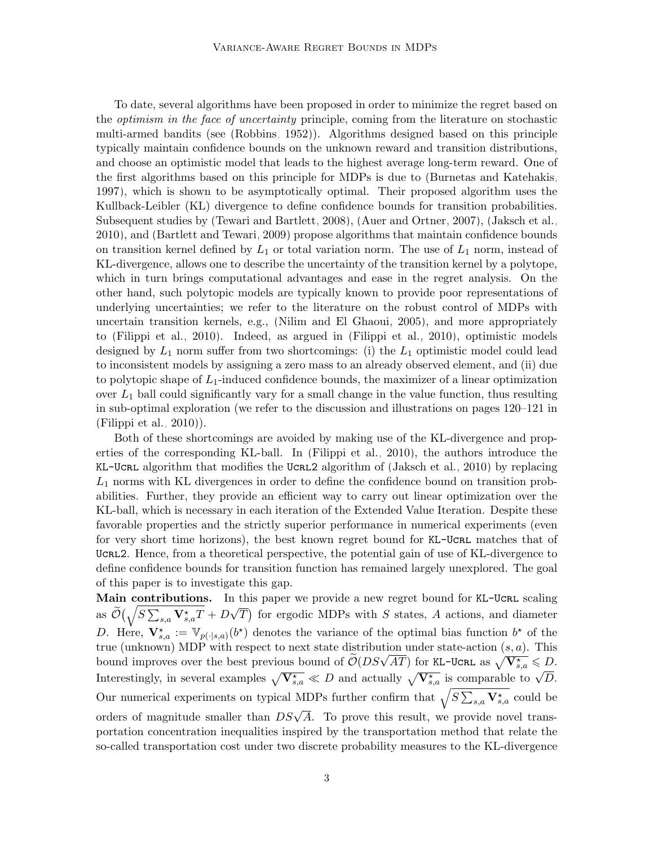To date, several algorithms have been proposed in order to minimize the regret based on the optimism in the face of uncertainty principle, coming from the literature on stochastic multi-armed bandits (see [\(Robbins, 1952\)](#page-14-2)). Algorithms designed based on this principle typically maintain confidence bounds on the unknown reward and transition distributions, and choose an optimistic model that leads to the highest average long-term reward. One of the first algorithms based on this principle for MDPs is due to [\(Burnetas and Katehakis,](#page-13-1) [1997\)](#page-13-1), which is shown to be asymptotically optimal. Their proposed algorithm uses the Kullback-Leibler (KL) divergence to define confidence bounds for transition probabilities. Subsequent studies by [\(Tewari and Bartlett, 2008\)](#page-14-3), [\(Auer and Ortner, 2007\)](#page-12-0), [\(Jaksch et al.,](#page-13-0) [2010\)](#page-13-0), and [\(Bartlett and Tewari, 2009\)](#page-13-2) propose algorithms that maintain confidence bounds on transition kernel defined by  $L_1$  or total variation norm. The use of  $L_1$  norm, instead of KL-divergence, allows one to describe the uncertainty of the transition kernel by a polytope, which in turn brings computational advantages and ease in the regret analysis. On the other hand, such polytopic models are typically known to provide poor representations of underlying uncertainties; we refer to the literature on the robust control of MDPs with uncertain transition kernels, e.g., [\(Nilim and El Ghaoui, 2005\)](#page-13-3), and more appropriately to [\(Filippi et al., 2010\)](#page-13-4). Indeed, as argued in [\(Filippi et al., 2010\)](#page-13-4), optimistic models designed by  $L_1$  norm suffer from two shortcomings: (i) the  $L_1$  optimistic model could lead to inconsistent models by assigning a zero mass to an already observed element, and (ii) due to polytopic shape of  $L_1$ -induced confidence bounds, the maximizer of a linear optimization over  $L_1$  ball could significantly vary for a small change in the value function, thus resulting in sub-optimal exploration (we refer to the discussion and illustrations on pages 120–121 in [\(Filippi et al., 2010\)](#page-13-4)).

Both of these shortcomings are avoided by making use of the KL-divergence and properties of the corresponding KL-ball. In [\(Filippi et al., 2010\)](#page-13-4), the authors introduce the KL-Ucrl algorithm that modifies the Ucrl algorithm of [\(Jaksch et al., 2010\)](#page-13-0) by replacing  $L_1$  norms with KL divergences in order to define the confidence bound on transition probabilities. Further, they provide an efficient way to carry out linear optimization over the KL-ball, which is necessary in each iteration of the Extended Value Iteration. Despite these favorable properties and the strictly superior performance in numerical experiments (even for very short time horizons), the best known regret bound for KL-UCRL matches that of UCRL2. Hence, from a theoretical perspective, the potential gain of use of KL-divergence to define confidence bounds for transition function has remained largely unexplored. The goal of this paper is to investigate this gap.

Main contributions. In this paper we provide a new regret bound for KL-UCRL scaling as  $\widetilde{\mathcal{O}}\big(\sqrt{S\sum_{s,a}\mathbf{V}_{s,a}^{\star}T}+D$ √  $\overline{T}$ ) for ergodic MDPs with S states, A actions, and diameter D. Here,  $\mathbf{V}_{s,a}^{\star} := \mathbb{V}_{p(\cdot|s,a)}(b^{\star})$  denotes the variance of the optimal bias function  $b^{\star}$  of the true (unknown) MDP with respect to next state distribution under state-action  $(s, a)$ . This bound improves over the best previous bound of  $\widetilde{O}(DS\sqrt{AT})$  for KL-UCRL as  $\sqrt{V_{s,a}^{\star}} \leq D$ . Interestingly, in several examples  $\sqrt{V_{s,a}^{\star}} \ll D$  and actually  $\sqrt{V_{s,a}^{\star}}$  is comparable to  $\sqrt{D}$ . Our numerical experiments on typical MDPs further confirm that  $\sqrt{S\sum_{s,a} V^*_{s,a}}$  could be orders of magnitude smaller than  $DS\sqrt{A}$ . To prove this result, we provide novel transportation concentration inequalities inspired by the transportation method that relate the so-called transportation cost under two discrete probability measures to the KL-divergence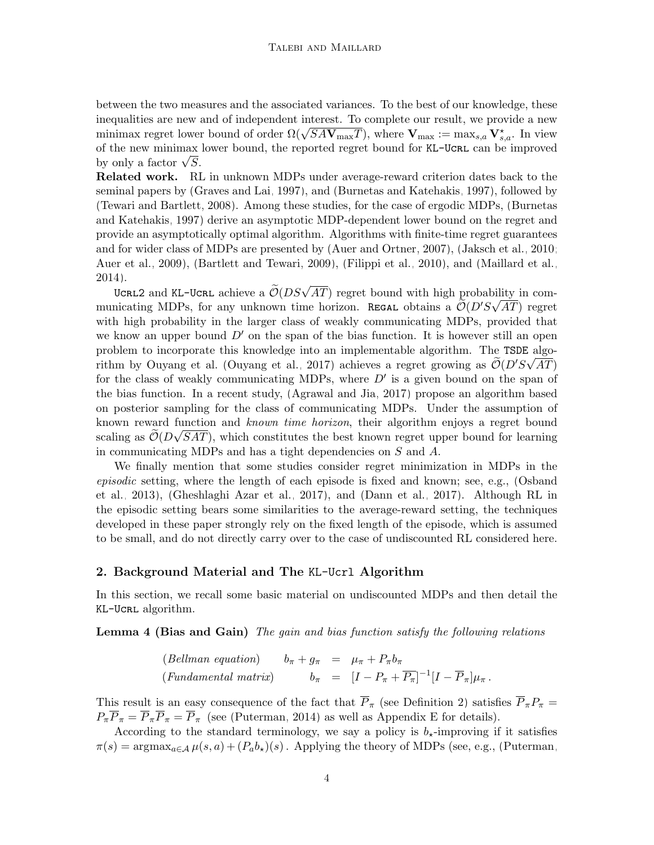between the two measures and the associated variances. To the best of our knowledge, these inequalities are new and of independent interest. To complete our result, we provide a new mequanties are new and of independent interest. To complete our result, we provide a new<br>minimax regret lower bound of order  $\Omega(\sqrt{SAV_{\text{max}}T})$ , where  $V_{\text{max}} := \max_{s,a} V_{s,a}^*$ . In view of the new minimax lower bound, the reported regret bound for KL-UCRL can be improved or the new minimax<br>by only a factor  $\sqrt{S}$ .

Related work. RL in unknown MDPs under average-reward criterion dates back to the seminal papers by [\(Graves and Lai, 1997\)](#page-13-5), and [\(Burnetas and Katehakis, 1997\)](#page-13-1), followed by [\(Tewari and Bartlett, 2008\)](#page-14-3). Among these studies, for the case of ergodic MDPs, [\(Burnetas](#page-13-1) [and Katehakis, 1997\)](#page-13-1) derive an asymptotic MDP-dependent lower bound on the regret and provide an asymptotically optimal algorithm. Algorithms with finite-time regret guarantees and for wider class of MDPs are presented by [\(Auer and Ortner, 2007\)](#page-12-0), [\(Jaksch et al., 2010;](#page-13-0) [Auer et al., 2009\)](#page-12-1), [\(Bartlett and Tewari, 2009\)](#page-13-2), [\(Filippi et al., 2010\)](#page-13-4), and [\(Maillard et al.,](#page-13-6) [2014\)](#page-13-6).

4).<br>UCRL2 and KL-UCRL achieve a  $\widetilde{\mathcal{O}}(DS\sqrt{AT})$  regret bound with high probability in communicating MDPs, for any unknown time horizon. REGAL obtains a  $\widetilde{\mathcal{O}}(D'S\sqrt{AT})$  regret with high probability in the larger class of weakly communicating MDPs, provided that we know an upper bound  $D'$  on the span of the bias function. It is however still an open problem to incorporate this knowledge into an implementable algorithm. The TSDE algo-rithm by Ouyang et al. [\(Ouyang et al., 2017\)](#page-13-7) achieves a regret growing as  $\widetilde{\mathcal{O}}(D'S\sqrt{AT})$ for the class of weakly communicating MDPs, where  $D'$  is a given bound on the span of the bias function. In a recent study, [\(Agrawal and Jia, 2017\)](#page-12-2) propose an algorithm based on posterior sampling for the class of communicating MDPs. Under the assumption of known reward function and *known time horizon*, their algorithm enjoys a regret bound scaling as  $\mathcal{O}(D\sqrt{SAT})$ , which constitutes the best known regret upper bound for learning in communicating MDPs and has a tight dependencies on S and A.

We finally mention that some studies consider regret minimization in MDPs in the episodic setting, where the length of each episode is fixed and known; see, e.g., [\(Osband](#page-13-8) [et al., 2013\)](#page-13-8), [\(Gheshlaghi Azar et al., 2017\)](#page-13-9), and [\(Dann et al., 2017\)](#page-13-10). Although RL in the episodic setting bears some similarities to the average-reward setting, the techniques developed in these paper strongly rely on the fixed length of the episode, which is assumed to be small, and do not directly carry over to the case of undiscounted RL considered here.

### <span id="page-3-0"></span>2. Background Material and The KL-Ucrl Algorithm

<span id="page-3-1"></span>In this section, we recall some basic material on undiscounted MDPs and then detail the KL-Ucrl algorithm.

Lemma 4 (Bias and Gain) The gain and bias function satisfy the following relations

(Bellman equation) 
$$
b_{\pi} + g_{\pi} = \mu_{\pi} + P_{\pi}b_{\pi}
$$
  
\n(Fundamental matrix)  $b_{\pi} = [I - P_{\pi} + \overline{P_{\pi}}]^{-1}[I - \overline{P}_{\pi}]\mu_{\pi}$ .

This result is an easy consequence of the fact that  $\overline{P}_{\pi}$  (see Definition [2\)](#page-1-1) satisfies  $\overline{P}_{\pi}P_{\pi}$  =  $P_{\pi}\overline{P}_{\pi} = \overline{P}_{\pi}\overline{P}_{\pi} = \overline{P}_{\pi}$  (see [\(Puterman, 2014\)](#page-14-1) as well as Appendix [E](#page-7-0) for details).

According to the standard terminology, we say a policy is  $b_{\star}$ -improving if it satisfies  $\pi(s) = \arg \max_{a \in A} \mu(s, a) + (P_a b_{\star})(s)$ . Applying the theory of MDPs (see, e.g., [\(Puterman,](#page-14-1)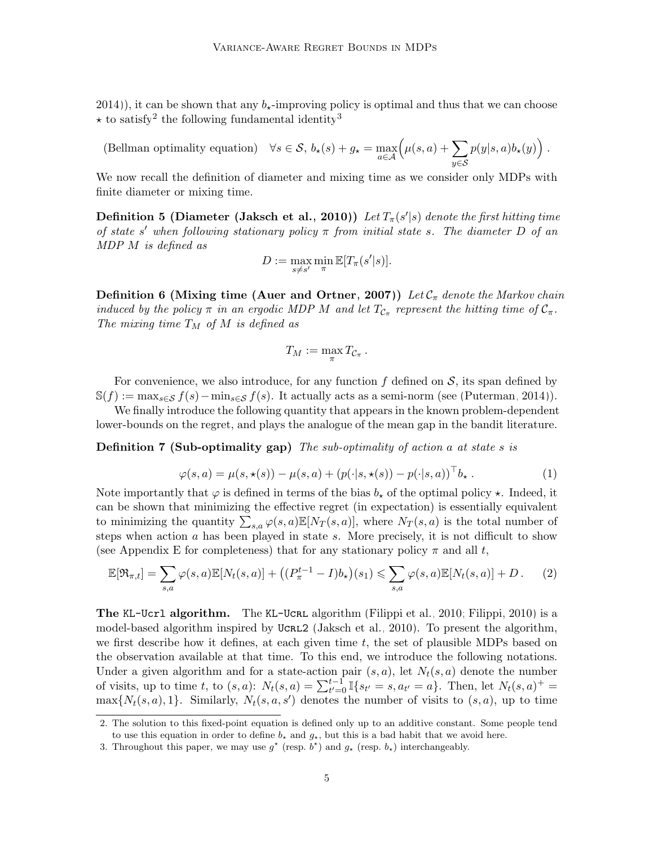[2014\)](#page-14-1)), it can be shown that any  $b_{\star}$ -improving policy is optimal and thus that we can choose  $\star$  to satisfy<sup>[2](#page-4-0)</sup> the following fundamental identity<sup>[3](#page-4-1)</sup>

(Bellman optimality equation)  $\forall s \in \mathcal{S}, b_{\star}(s) + g_{\star} = \max_{a \in \mathcal{A}}$  $(\mu(s,a)+\sum$ y∈S  $p(y|s,a)b_\star(y)\big)$ .

We now recall the definition of diameter and mixing time as we consider only MDPs with finite diameter or mixing time.

**Definition 5 (Diameter [\(Jaksch et al., 2010\)](#page-13-0))** Let  $T_\pi(s'|s)$  denote the first hitting time of state s' when following stationary policy  $\pi$  from initial state s. The diameter D of an MDP M is defined as

$$
D := \max_{s \neq s'} \min_{\pi} \mathbb{E}[T_{\pi}(s'|s)].
$$

**Definition 6 (Mixing time [\(Auer and Ortner, 2007\)](#page-12-0))** Let  $\mathcal{C}_{\pi}$  denote the Markov chain induced by the policy  $\pi$  in an ergodic MDP M and let  $T_{\mathcal{C}_{\pi}}$  represent the hitting time of  $\mathcal{C}_{\pi}$ . The mixing time  $T_M$  of M is defined as

$$
T_M := \max_{\pi} T_{\mathcal{C}_{\pi}}
$$

For convenience, we also introduce, for any function  $f$  defined on  $S$ , its span defined by  $\mathbb{S}(f) := \max_{s \in \mathcal{S}} f(s) - \min_{s \in \mathcal{S}} f(s)$ . It actually acts as a semi-norm (see [\(Puterman, 2014\)](#page-14-1)).

We finally introduce the following quantity that appears in the known problem-dependent lower-bounds on the regret, and plays the analogue of the mean gap in the bandit literature.

**Definition 7 (Sub-optimality gap)** The sub-optimality of action a at state s is

$$
\varphi(s,a) = \mu(s,\star(s)) - \mu(s,a) + (p(\cdot|s,\star(s)) - p(\cdot|s,a))^{\top}b_{\star}.
$$
 (1)

.

Note importantly that  $\varphi$  is defined in terms of the bias  $b_{\star}$  of the optimal policy  $\star$ . Indeed, it can be shown that minimizing the effective regret (in expectation) is essentially equivalent to minimizing the quantity  $\sum_{s,a} \varphi(s,a) \mathbb{E}[N_T(s,a)],$  where  $N_T(s,a)$  is the total number of steps when action a has been played in state s. More precisely, it is not difficult to show (see Appendix [E](#page-7-0) for completeness) that for any stationary policy  $\pi$  and all t,

$$
\mathbb{E}[\mathfrak{R}_{\pi,t}] = \sum_{s,a} \varphi(s,a) \mathbb{E}[N_t(s,a)] + \left( (P_{\pi}^{t-1} - I)b_{\star} \right)(s_1) \leqslant \sum_{s,a} \varphi(s,a) \mathbb{E}[N_t(s,a)] + D. \tag{2}
$$

The KL-Ucrl algorithm. The KL-Ucrl algorithm [\(Filippi et al., 2010;](#page-13-4) [Filippi, 2010\)](#page-13-11) is a model-based algorithm inspired by UCRL2 [\(Jaksch et al., 2010\)](#page-13-0). To present the algorithm, we first describe how it defines, at each given time  $t$ , the set of plausible MDPs based on the observation available at that time. To this end, we introduce the following notations. Under a given algorithm and for a state-action pair  $(s, a)$ , let  $N_t(s, a)$  denote the number of visits, up to time t, to  $(s, a)$ :  $N_t(s, a) = \sum_{t'=0}^{t-1} \mathbb{I}\{s_{t'} = s, a_{t'} = a\}$ . Then, let  $N_t(s, a)^{+} =$  $\max\{N_t(s,a),1\}$ . Similarly,  $N_t(s,a,s')$  denotes the number of visits to  $(s,a)$ , up to time

<span id="page-4-0"></span><sup>2.</sup> The solution to this fixed-point equation is defined only up to an additive constant. Some people tend to use this equation in order to define  $b<sub>\star</sub>$  and  $g<sub>\star</sub>$ , but this is a bad habit that we avoid here.

<span id="page-4-1"></span><sup>3.</sup> Throughout this paper, we may use  $g^*$  (resp.  $b^*$ ) and  $g_*$  (resp.  $b_*$ ) interchangeably.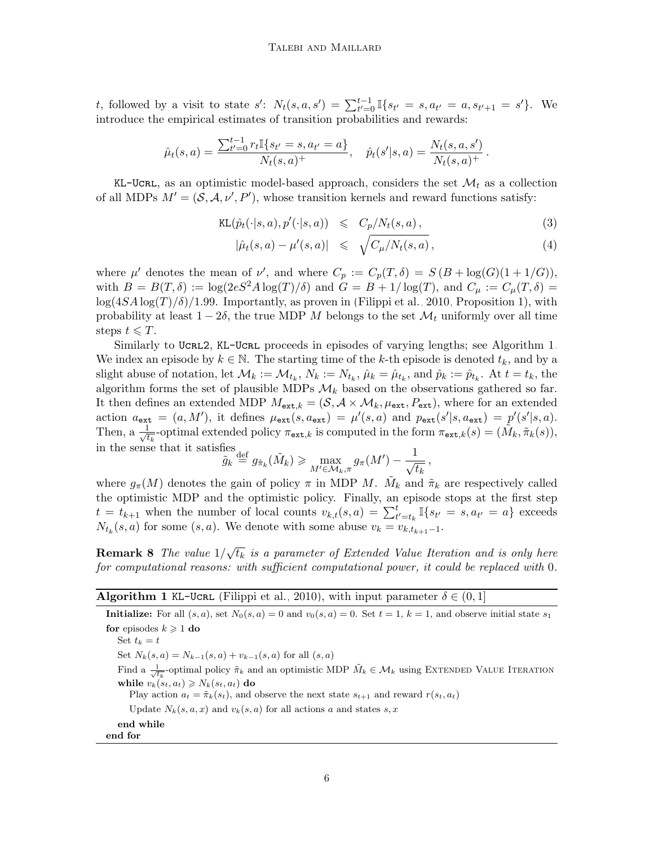t, followed by a visit to state  $s'$ :  $N_t(s, a, s') = \sum_{t'=0}^{t-1} \mathbb{I}\{s_{t'} = s, a_{t'} = a, s_{t'+1} = s'\}.$  We introduce the empirical estimates of transition probabilities and rewards:

$$
\hat{\mu}_t(s,a) = \frac{\sum_{t'=0}^{t-1} r_t \mathbb{I}\{s_{t'} = s, a_{t'} = a\}}{N_t(s,a)^+}, \quad \hat{p}_t(s'|s,a) = \frac{N_t(s,a,s')}{N_t(s,a)^+}.
$$

KL-UCRL, as an optimistic model-based approach, considers the set  $\mathcal{M}_t$  as a collection of all MDPs  $M' = (\mathcal{S}, \mathcal{A}, \nu', P')$ , whose transition kernels and reward functions satisfy:

<span id="page-5-1"></span>
$$
KL(\hat{p}_t(\cdot|s, a), p'(\cdot|s, a)) \leq C_p/N_t(s, a), \qquad (3)
$$

$$
|\hat{\mu}_t(s,a) - \mu'(s,a)| \leq \sqrt{C_{\mu}/N_t(s,a)}, \qquad (4)
$$

where  $\mu'$  denotes the mean of  $\nu'$ , and where  $C_p := C_p(T,\delta) = S(B + \log(G)(1 + 1/G)),$ with  $B = B(T, \delta) := \log(2eS^2 A \log(T)/\delta)$  and  $G = B + 1/\log(T)$ , and  $C_\mu := C_\mu(T, \delta)$  $\log(4SA\log(T)/\delta)/1.99$ . Importantly, as proven in [\(Filippi et al., 2010,](#page-13-4) Proposition 1), with probability at least  $1 - 2\delta$ , the true MDP M belongs to the set  $\mathcal{M}_t$  uniformly over all time steps  $t \leq T$ .

Similarly to UCRL2, KL-UCRL proceeds in episodes of varying lengths; see Algorithm [1.](#page-5-0) We index an episode by  $k \in \mathbb{N}$ . The starting time of the k-th episode is denoted  $t_k$ , and by a slight abuse of notation, let  $\mathcal{M}_k := \mathcal{M}_{t_k}$ ,  $N_k := N_{t_k}$ ,  $\hat{\mu}_k = \hat{\mu}_{t_k}$ , and  $\hat{p}_k := \hat{p}_{t_k}$ . At  $t = t_k$ , the algorithm forms the set of plausible MDPs  $\mathcal{M}_k$  based on the observations gathered so far. It then defines an extended MDP  $M_{ext,k} = (S, A \times M_k, \mu_{ext}, P_{ext})$ , where for an extended action  $a_{\text{ext}} = (a, M')$ , it defines  $\mu_{\text{ext}}(s, a_{\text{ext}}) = \mu'(s, a)$  and  $p_{\text{ext}}(s'|s, a_{\text{ext}}) = p'(s'|s, a)$ . Then, a  $\frac{1}{\sqrt{t}}$  $\frac{1}{t_k}$ -optimal extended policy  $\pi_{ext,k}$  is computed in the form  $\pi_{ext,k}(s) = (\tilde{M}_k, \tilde{\pi}_k(s)),$ in the sense that it satisfies

$$
\tilde{g}_k \stackrel{\text{def}}{=} g_{\tilde{\pi}_k}(\tilde{M}_k) \geqslant \max_{M' \in \mathcal{M}_k, \pi} g_{\pi}(M') - \frac{1}{\sqrt{t_k}},
$$

where  $g_{\pi}(M)$  denotes the gain of policy  $\pi$  in MDP M.  $\tilde{M}_k$  and  $\tilde{\pi}_k$  are respectively called the optimistic MDP and the optimistic policy. Finally, an episode stops at the first step  $t = t_{k+1}$  when the number of local counts  $v_{k,t}(s, a) = \sum_{t'=t_k}^{t} \mathbb{I}\{s_{t'} = s, a_{t'} = a\}$  exceeds  $N_{t_k}(s, a)$  for some  $(s, a)$ . We denote with some abuse  $v_k = v_{k,t_{k+1}-1}$ .

<span id="page-5-2"></span>Remark 8 The value  $1/$ √  $\overline{t_k}$  is a parameter of Extended Value Iteration and is only here for computational reasons: with sufficient computational power, it could be replaced with 0.

<span id="page-5-0"></span>

| <b>Algorithm 1 KL-UCRL</b> (Filippi et al., 2010), with input parameter $\delta \in (0,1]$ |  |  |  |
|--------------------------------------------------------------------------------------------|--|--|--|
|                                                                                            |  |  |  |

Initialize: For all  $(s, a)$ , set  $N_0(s, a) = 0$  and  $v_0(s, a) = 0$ . Set  $t = 1$ ,  $k = 1$ , and observe initial state  $s_1$ for episodes  $k \geqslant 1$  do Set  $t_k = t$ Set  $N_k(s, a) = N_{k-1}(s, a) + v_{k-1}(s, a)$  for all  $(s, a)$ Find a  $\frac{1}{\sqrt{t_k}}$ -optimal policy  $\tilde{\pi}_k$  and an optimistic MDP  $\tilde{M}_k \in \mathcal{M}_k$  using EXTENDED VALUE ITERATION while  $v_k(s_t, a_t) \geq N_k(s_t, a_t)$  do Play action  $a_t = \tilde{\pi}_k(s_t)$ , and observe the next state  $s_{t+1}$  and reward  $r(s_t, a_t)$ Update  $N_k(s, a, x)$  and  $v_k(s, a)$  for all actions a and states s, x end while end for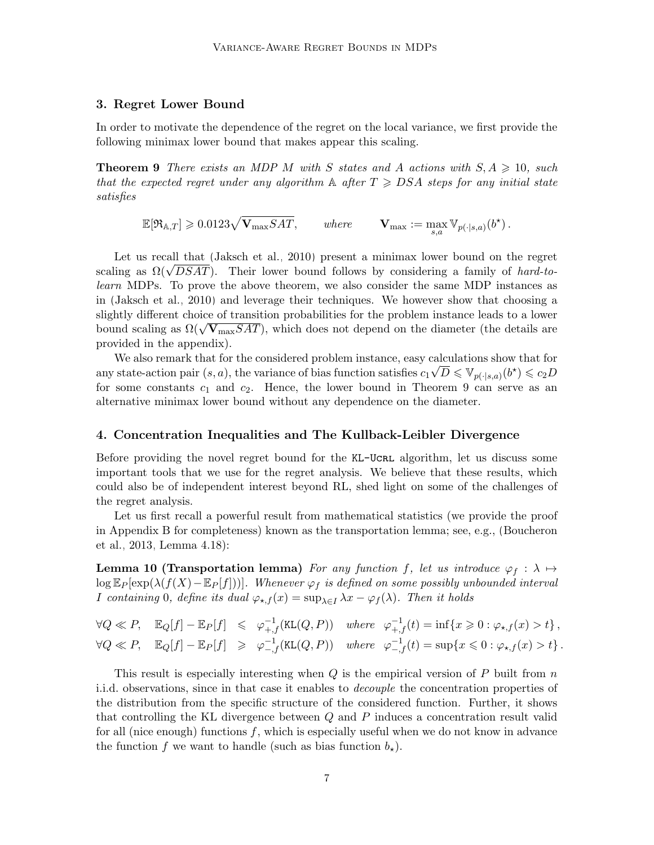### <span id="page-6-1"></span>3. Regret Lower Bound

In order to motivate the dependence of the regret on the local variance, we first provide the following minimax lower bound that makes appear this scaling.

**Theorem 9** There exists an MDP M with S states and A actions with  $S, A \geq 10$ , such that the expected regret under any algorithm  $\mathbb A$  after  $T \geqslant DSA$  steps for any initial state satisfies

<span id="page-6-0"></span> $\mathbb{E}[\mathfrak{R}_{\mathbb{A},T}] \geqslant 0.0123\sqrt{\mathbf{V}_{\max}SAT}, \qquad \textit{where} \qquad \mathbf{V}_{\max} := \max_{s,a} \mathbb{V}_{p(\cdot|s,a)}(b^\star) \,.$ 

Let us recall that [\(Jaksch et al., 2010\)](#page-13-0) present a minimax lower bound on the regret Let us recall that (Jaksch et al., 2010) present a minimax lower bound on the regret scaling as  $\Omega(\sqrt{DSAT})$ . Their lower bound follows by considering a family of *hard-to*learn MDPs. To prove the above theorem, we also consider the same MDP instances as in [\(Jaksch et al., 2010\)](#page-13-0) and leverage their techniques. We however show that choosing a slightly different choice of transition probabilities for the problem instance leads to a lower bound scaling as  $\Omega(\sqrt{\mathbf{V}_{\max}SAT})$ , which does not depend on the diameter (the details are provided in the appendix).

We also remark that for the considered problem instance, easy calculations show that for any state-action pair  $(s, a)$ , the variance of bias function satisfies  $c_1\sqrt{D} \leqslant \mathbb{V}_{p(\cdot|s,a)}(b^*) \leqslant c_2D$ for some constants  $c_1$  and  $c_2$ . Hence, the lower bound in Theorem [9](#page-6-0) can serve as an alternative minimax lower bound without any dependence on the diameter.

### 4. Concentration Inequalities and The Kullback-Leibler Divergence

Before providing the novel regret bound for the KL-UCRL algorithm, let us discuss some important tools that we use for the regret analysis. We believe that these results, which could also be of independent interest beyond RL, shed light on some of the challenges of the regret analysis.

Let us first recall a powerful result from mathematical statistics (we provide the proof in Appendix [B](#page-3-0) for completeness) known as the transportation lemma; see, e.g., [\(Boucheron](#page-13-12) [et al., 2013,](#page-13-12) Lemma 4.18):

<span id="page-6-2"></span>**Lemma 10 (Transportation lemma)** For any function f, let us introduce  $\varphi_f : \lambda \mapsto$  $\log \mathbb{E}_P[\exp(\lambda(f(X)-\mathbb{E}_P[f]))]$ . Whenever  $\varphi_f$  is defined on some possibly unbounded interval I containing 0, define its dual  $\varphi_{\star,f}(x) = \sup_{\lambda \in I} \lambda x - \varphi_f(\lambda)$ . Then it holds

 $\forall Q \ll P, \quad \mathbb{E}_Q[f] - \mathbb{E}_P[f] \leq \varphi_{+,f}^{-1}(\texttt{KL}(Q, P)) \quad \text{where} \quad \varphi_{+,f}^{-1}(t) = \inf\{x \geq 0 : \varphi_{\star,f}(x) > t\},$  $\forall Q \ll P, \quad \mathbb{E}_Q[f] - \mathbb{E}_P[f] \geqslant \varphi_{-,f}^{-1}(\texttt{KL}(Q,P)) \quad where \quad \varphi_{-,f}^{-1}(t) = \sup\{x \leqslant 0 : \varphi_{\star,f}(x) > t\}.$ 

This result is especially interesting when  $Q$  is the empirical version of  $P$  built from  $n$ i.i.d. observations, since in that case it enables to decouple the concentration properties of the distribution from the specific structure of the considered function. Further, it shows that controlling the KL divergence between Q and P induces a concentration result valid for all (nice enough) functions  $f$ , which is especially useful when we do not know in advance the function f we want to handle (such as bias function  $b_{\star}$ ).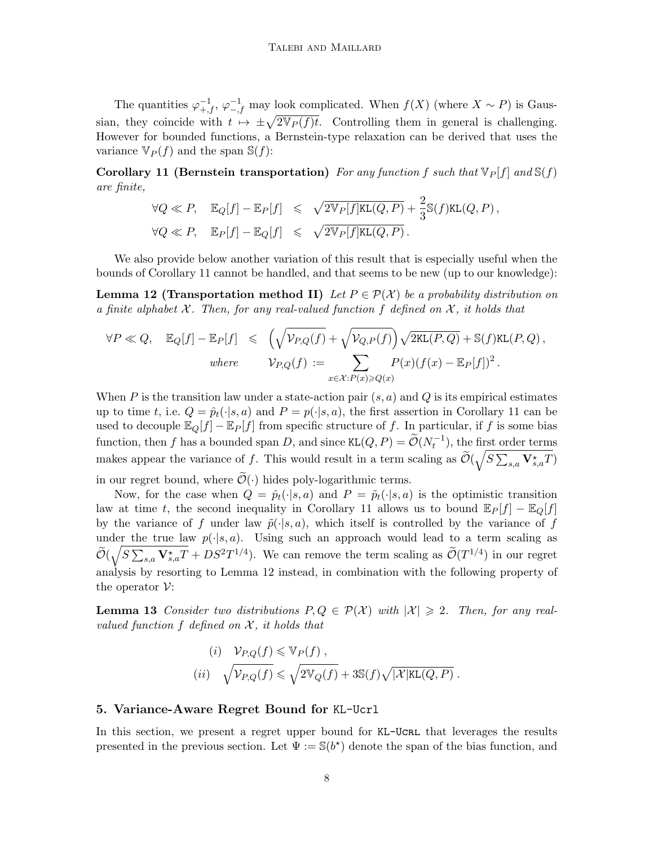The quantities  $\varphi_{+,f}^{-1}, \varphi_{-,f}^{-1}$  may look complicated. When  $f(X)$  (where  $X \sim P$ ) is Gaussian, they coincide with  $t \mapsto \pm \sqrt{2V_P(f)t}$ . Controlling them in general is challenging. However for bounded functions, a Bernstein-type relaxation can be derived that uses the variance  $\mathbb{V}_P(f)$  and the span  $\mathbb{S}(f)$ :

<span id="page-7-1"></span>Corollary 11 (Bernstein transportation) For any function f such that  $\nabla P[f]$  and  $\nabla f$ ) are finite,

$$
\forall Q \ll P, \quad \mathbb{E}_Q[f] - \mathbb{E}_P[f] \leq \sqrt{2\mathbb{V}_P[f]\mathsf{KL}(Q, P)} + \frac{2}{3}\mathbb{S}(f)\mathsf{KL}(Q, P),
$$
  

$$
\forall Q \ll P, \quad \mathbb{E}_P[f] - \mathbb{E}_Q[f] \leq \sqrt{2\mathbb{V}_P[f]\mathsf{KL}(Q, P)}.
$$

We also provide below another variation of this result that is especially useful when the bounds of Corollary [11](#page-7-1) cannot be handled, and that seems to be new (up to our knowledge):

<span id="page-7-2"></span>**Lemma 12 (Transportation method II)** Let  $P \in \mathcal{P}(\mathcal{X})$  be a probability distribution on a finite alphabet  $\mathcal X$ . Then, for any real-valued function f defined on  $\mathcal X$ , it holds that

$$
\forall P \ll Q, \quad \mathbb{E}_Q[f] - \mathbb{E}_P[f] \leq \left(\sqrt{\mathcal{V}_{P,Q}(f)} + \sqrt{\mathcal{V}_{Q,P}(f)}\right) \sqrt{2\text{KL}(P,Q)} + \mathbb{S}(f)\text{KL}(P,Q),
$$
\n
$$
\text{where } \qquad \mathcal{V}_{P,Q}(f) := \sum_{x \in \mathcal{X}: P(x) \geqslant Q(x)} P(x) (f(x) - \mathbb{E}_P[f])^2.
$$

When P is the transition law under a state-action pair  $(s, a)$  and Q is its empirical estimates up to time t, i.e.  $Q = \hat{p}_t(\cdot|s, a)$  and  $P = p(\cdot|s, a)$ , the first assertion in Corollary [11](#page-7-1) can be used to decouple  $\mathbb{E}_Q[f] - \mathbb{E}_P[f]$  from specific structure of f. In particular, if f is some bias function, then f has a bounded span D, and since  $KL(Q, P) = \widetilde{\mathcal{O}}(N_t^{-1})$ , the first order terms makes appear the variance of f. This would result in a term scaling as  $\tilde{\mathcal{O}}(\sqrt{S\sum_{s,a} \mathbf{V}^{\star}_{s,a}T})$ in our regret bound, where  $\mathcal{O}(\cdot)$  hides poly-logarithmic terms.

Now, for the case when  $Q = \hat{p}_t(\cdot|s, a)$  and  $P = \tilde{p}_t(\cdot|s, a)$  is the optimistic transition law at time t, the second inequality in Corollary [11](#page-7-1) allows us to bound  $\mathbb{E}_P[f] - \mathbb{E}_Q[f]$ by the variance of f under law  $\tilde{p}(\cdot|s, a)$ , which itself is controlled by the variance of f under the true law  $p(\cdot|s, a)$ . Using such an approach would lead to a term scaling as  $\widetilde{\mathcal{O}}(\sqrt{S\sum_{s,a}\mathbf{V}^\star_{s,a}T} + DS^2T^{1/4})$ . We can remove the term scaling as  $\widetilde{\mathcal{O}}(T^{1/4})$  in our regret analysis by resorting to Lemma [12](#page-7-2) instead, in combination with the following property of the operator  $\mathcal V$ :

**Lemma 13** Consider two distributions  $P, Q \in \mathcal{P}(\mathcal{X})$  with  $|\mathcal{X}| \geq 2$ . Then, for any realvalued function f defined on  $\mathcal{X}$ , it holds that

<span id="page-7-3"></span>(i) 
$$
V_{P,Q}(f) \le V_P(f)
$$
,  
(ii)  $\sqrt{V_{P,Q}(f)} \le \sqrt{2V_Q(f)} + 3S(f)\sqrt{|\mathcal{X}|KL(Q, P)}$ .

### <span id="page-7-0"></span>5. Variance-Aware Regret Bound for KL-Ucrl

In this section, we present a regret upper bound for KL-UCRL that leverages the results presented in the previous section. Let  $\Psi := \mathbb{S}(b^*)$  denote the span of the bias function, and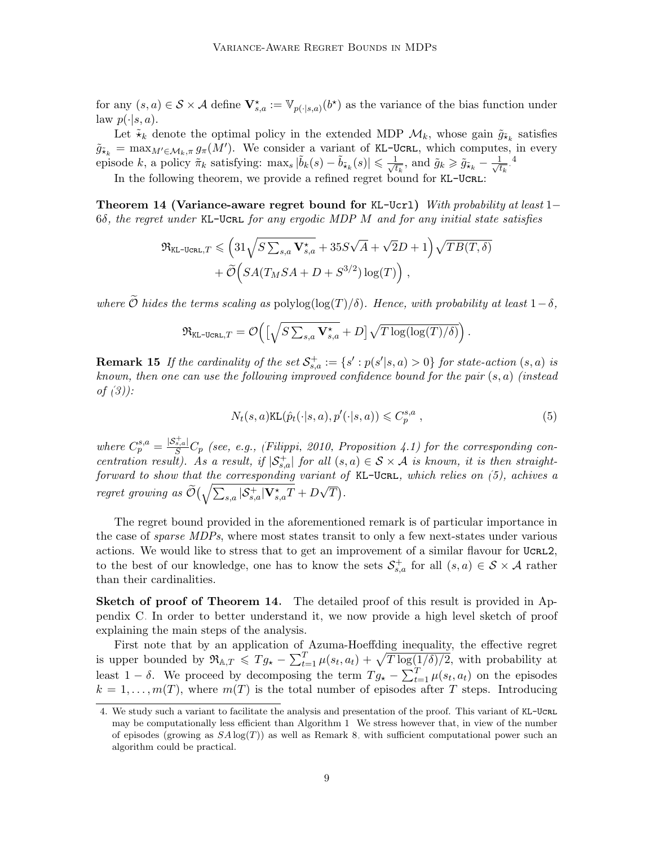for any  $(s, a) \in S \times A$  define  $\mathbf{V}^{\star}_{s,a} := \mathbb{V}_{p(\cdot|s,a)}(b^{\star})$  as the variance of the bias function under law  $p(\cdot|s, a)$ .

Let  $\tilde{\star}_k$  denote the optimal policy in the extended MDP  $\mathcal{M}_k$ , whose gain  $\tilde{g}_{\tilde{\star}_k}$  satisfies  $\tilde{g}_{\tilde{\star}_k} = \max_{M' \in \mathcal{M}_k, \pi} g_{\pi}(M')$ . We consider a variant of KL-UCRL, which computes, in every episode k, a policy  $\pi_k$  satisfying: max<sub>s</sub>  $|\tilde{b}_k(s) - \tilde{b}_{\tilde{\star}_k}(s)| \leq \frac{1}{\sqrt{t}}$  $\frac{1}{t_k}$ , and  $\tilde{g}_k \geq \tilde{g}_{\tilde{\star}_k} - \frac{1}{\sqrt{t}}$  $\frac{1}{t_k}$ .<sup>[4](#page-8-0)</sup>

In the following theorem, we provide a refined regret bound for KL-UCRL:

<span id="page-8-2"></span>Theorem 14 (Variance-aware regret bound for KL-Ucrl) With probability at least 1–  $6\delta$ , the regret under KL-Ucrl for any ergodic MDP M and for any initial state satisfies

$$
\mathfrak{R}_{\texttt{KL-UCRL},T} \leqslant \Big(31\sqrt{S\sum_{s,a}\mathbf{V}^\star_{s,a}} + 35S\sqrt{A} + \sqrt{2}D + 1\Big)\sqrt{TB(T,\delta)} \\ + \widetilde{\mathcal{O}}\Big(SA(T_MSA+D+S^{3/2})\log(T)\Big)\,,
$$

where  $\widetilde{O}$  hides the terms scaling as polylog(log(T)/ $\delta$ ). Hence, with probability at least  $1-\delta$ ,

$$
\mathfrak{R}_{\mathrm{KL-UCRL}, T} = \mathcal{O}\Big(\big[\sqrt{S \sum_{s,a} \mathbf{V}^\star_{s,a}} + D\big]\sqrt{T \log(\log(T)/\delta)}\Big)\,.
$$

**Remark 15** If the cardinality of the set  $\mathcal{S}^+_{s,a} := \{s' : p(s'|s,a) > 0\}$  for state-action  $(s,a)$  is known, then one can use the following improved confidence bound for the pair  $(s, a)$  (instead of  $(3)$ :

<span id="page-8-1"></span>
$$
N_t(s, a)KL(\hat{p}_t(\cdot|s, a), p'(\cdot|s, a)) \leq C_p^{s, a}, \qquad (5)
$$

where  $C_p^{s,a} = \frac{|\mathcal{S}_{s,a}^+|}{S}C_p$  (see, e.g., [\(Filippi, 2010,](#page-13-11) Proposition 4.1) for the corresponding concentration result). As a result, if  $|S_{s,a}^+|$  for all  $(s,a) \in S \times A$  is known, it is then straightforward to show that the corresponding variant of KL-UCRL, which relies on  $(5)$ , achives a regret growing as  $\widetilde{\mathcal{O}}\big(\sqrt{\sum_{s,a}|\mathcal{S}^+_{s,a}|\mathbf{V}^{\star}_{s,a}T}+D$ √  $\overline{T}).$ 

The regret bound provided in the aforementioned remark is of particular importance in the case of *sparse MDPs*, where most states transit to only a few next-states under various actions. We would like to stress that to get an improvement of a similar flavour for UCRL2, to the best of our knowledge, one has to know the sets  $\mathcal{S}^+_{s,a}$  for all  $(s,a) \in \mathcal{S} \times \mathcal{A}$  rather than their cardinalities.

Sketch of proof of Theorem [14.](#page-8-2) The detailed proof of this result is provided in Appendix [C.](#page-6-1) In order to better understand it, we now provide a high level sketch of proof explaining the main steps of the analysis.

First note that by an application of Azuma-Hoeffding inequality, the effective regret is upper bounded by  $\Re_{A,T} \leqslant T g_{\star} - \sum_{t=1}^T \mu(s_t, a_t) + \sqrt{T \log(1/\delta)/2}$ , with probability at least  $1 - \delta$ . We proceed by decomposing the term  $T g_{\star} - \sum_{t=1}^{T} \mu(s_t, a_t)$  on the episodes  $k = 1, \ldots, m(T)$ , where  $m(T)$  is the total number of episodes after T steps. Introducing

<span id="page-8-0"></span><sup>4.</sup> We study such a variant to facilitate the analysis and presentation of the proof. This variant of KL-UCRL may be computationally less efficient than Algorithm [1.](#page-5-0) We stress however that, in view of the number of episodes (growing as  $SA \log(T)$ ) as well as Remark [8,](#page-5-2) with sufficient computational power such an algorithm could be practical.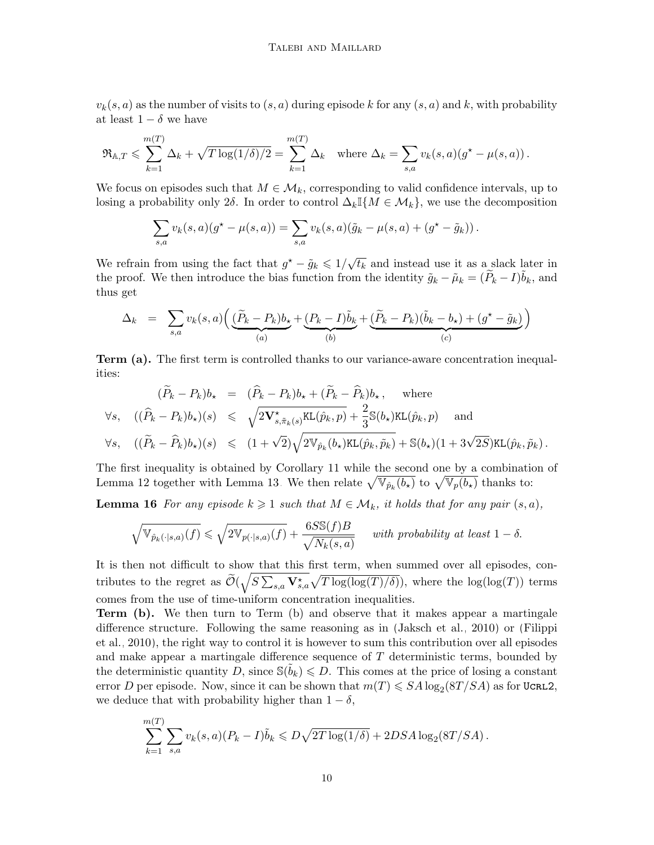$v_k(s, a)$  as the number of visits to  $(s, a)$  during episode k for any  $(s, a)$  and k, with probability at least  $1 - \delta$  we have

$$
\mathfrak{R}_{\mathbb{A},T} \leqslant \sum_{k=1}^{m(T)} \Delta_k + \sqrt{T \log(1/\delta)/2} = \sum_{k=1}^{m(T)} \Delta_k \quad \text{where } \Delta_k = \sum_{s,a} v_k(s,a) (g^{\star} - \mu(s,a)).
$$

We focus on episodes such that  $M \in \mathcal{M}_k$ , corresponding to valid confidence intervals, up to losing a probability only 2δ. In order to control  $\Delta_k \mathbb{I}\{M \in \mathcal{M}_k\}$ , we use the decomposition

$$
\sum_{s,a} v_k(s,a)(g^* - \mu(s,a)) = \sum_{s,a} v_k(s,a)(\tilde{g}_k - \mu(s,a) + (g^* - \tilde{g}_k)).
$$

We refrain from using the fact that  $g^* - \tilde{g}_k \leq 1/\sqrt{3}$  $\overline{t_k}$  and instead use it as a slack later in the proof. We then introduce the bias function from the identity  $\tilde{g}_k - \tilde{\mu}_k = (\tilde{P}_k - I)\tilde{b}_k$ , and thus get

$$
\Delta_k = \sum_{s,a} v_k(s,a) \Big( \underbrace{(\widetilde{P}_k - P_k)b_\star}_{(a)} + \underbrace{(P_k - I)\widetilde{b}_k}_{(b)} + \underbrace{(\widetilde{P}_k - P_k)(\widetilde{b}_k - b_\star) + (g^\star - \widetilde{g}_k)}_{(c)} \Big)
$$

Term (a). The first term is controlled thanks to our variance-aware concentration inequalities:

$$
(\widetilde{P}_k - P_k)b_\star = (\widehat{P}_k - P_k)b_\star + (\widetilde{P}_k - \widehat{P}_k)b_\star, \text{ where}
$$
  

$$
\forall s, \quad ((\widehat{P}_k - P_k)b_\star)(s) \le \sqrt{2\mathbf{V}_{s,\tilde{\pi}_k(s)}^{\star}\text{KL}(\widehat{p}_k, p)} + \frac{2}{3}\mathbb{S}(b_\star)\text{KL}(\widehat{p}_k, p) \text{ and}
$$
  

$$
\forall s, \quad ((\widetilde{P}_k - \widehat{P}_k)b_\star)(s) \le (1 + \sqrt{2})\sqrt{2\mathbb{V}_{\widehat{p}_k}(b_\star)\text{KL}(\widehat{p}_k, \widetilde{p}_k)} + \mathbb{S}(b_\star)(1 + 3\sqrt{2S})\text{KL}(\widehat{p}_k, \widetilde{p}_k).
$$

The first inequality is obtained by Corollary [11](#page-7-1) while the second one by a combination of Lemma [12](#page-7-2) together with Lemma [13.](#page-7-3) We then relate  $\sqrt{\mathbb{V}_{\hat{p}_k}(b_\star)}$  to  $\sqrt{\mathbb{V}_p(b_\star)}$  thanks to:

**Lemma 16** For any episode  $k \geq 1$  such that  $M \in \mathcal{M}_k$ , it holds that for any pair  $(s, a)$ ,

<span id="page-9-0"></span>
$$
\sqrt{\mathbb{V}_{\hat{p}_k(\cdot|s,a)}(f)} \leqslant \sqrt{2 \mathbb{V}_{p(\cdot|s,a)}(f)} + \frac{6S \mathbb{S}(f)B}{\sqrt{N_k(s,a)}} \quad \text{ with probability at least } 1 - \delta.
$$

It is then not difficult to show that this first term, when summed over all episodes, contributes to the regret as  $\tilde{\mathcal{O}}(\sqrt{S\sum_{s,a} \mathbf{V}^{\star}_{s,a}}\sqrt{T \log(\log(T)/\delta)})$ , where the  $\log(\log(T))$  terms comes from the use of time-uniform concentration inequalities.

Term (b). We then turn to Term (b) and observe that it makes appear a martingale difference structure. Following the same reasoning as in [\(Jaksch et al., 2010\)](#page-13-0) or [\(Filippi](#page-13-4) [et al., 2010\)](#page-13-4), the right way to control it is however to sum this contribution over all episodes and make appear a martingale difference sequence of T deterministic terms, bounded by the deterministic quantity  $\tilde{D}$ , since  $\mathbb{S}(\tilde{b}_k) \leqslant D$ . This comes at the price of losing a constant error D per episode. Now, since it can be shown that  $m(T) \leqslant SA \log_2(8T/SA)$  as for UCRL2, we deduce that with probability higher than  $1 - \delta$ ,

$$
\sum_{k=1}^{m(T)} \sum_{s,a} v_k(s,a) (P_k - I) \tilde{b}_k \le D\sqrt{2T \log(1/\delta)} + 2DSA \log_2(8T/SA).
$$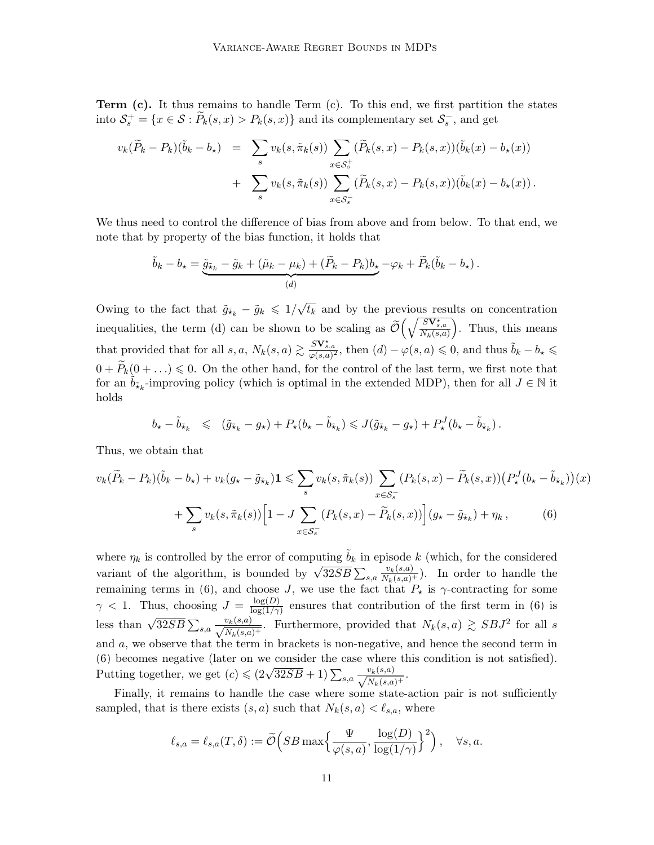**Term**  $(c)$ **.** It thus remains to handle Term  $(c)$ . To this end, we first partition the states into  $S_s^+ = \{x \in S : \widetilde{P}_k(s, x) > P_k(s, x)\}\$ and its complementary set  $S_s^-$ , and get

$$
v_k(\widetilde{P}_k - P_k)(\widetilde{b}_k - b_\star) = \sum_s v_k(s, \widetilde{\pi}_k(s)) \sum_{x \in S_s^+} (\widetilde{P}_k(s, x) - P_k(s, x))(\widetilde{b}_k(x) - b_\star(x)) + \sum_s v_k(s, \widetilde{\pi}_k(s)) \sum_{x \in S_s^-} (\widetilde{P}_k(s, x) - P_k(s, x))(\widetilde{b}_k(x) - b_\star(x)).
$$

We thus need to control the difference of bias from above and from below. To that end, we note that by property of the bias function, it holds that

$$
\tilde{b}_k - b_\star = \underbrace{\tilde{g}_{\tilde{\star}_k} - \tilde{g}_k + (\tilde{\mu}_k - \mu_k) + (\tilde{P}_k - P_k)b_\star}_{(d)} - \varphi_k + \tilde{P}_k(\tilde{b}_k - b_\star).
$$

Owing to the fact that  $\tilde{g}_{\tilde{x}_k} - \tilde{g}_k \leq 1/\sqrt{k}$  $\overline{t_k}$  and by the previous results on concentration inequalities, the term (d) can be shown to be scaling as  $\tilde{\mathcal{O}}\left(\sqrt{\frac{SV^*_{s,a}}{N_k(s,a)}}\right)$  . Thus, this means that provided that for all  $s, a, N_k(s, a) \gtrsim \frac{S\mathbf{V}_{s,a}^*}{\varphi(s,a)^2}$ , then  $(d) - \varphi(s,a) \leqslant 0$ , and thus  $\tilde{b}_k - b_\star \leqslant$  $0 + P_k(0 + ...) \leq 0$ . On the other hand, for the control of the last term, we first note that for an  $\tilde{b}_{\tilde{\star}_k}$ -improving policy (which is optimal in the extended MDP), then for all  $J \in \mathbb{N}$  it holds

<span id="page-10-0"></span>
$$
b_{\star} - \tilde{b}_{\tilde{\star}_k} \leq (\tilde{g}_{\tilde{\star}_k} - g_{\star}) + P_{\star}(b_{\star} - \tilde{b}_{\tilde{\star}_k}) \leqslant J(\tilde{g}_{\tilde{\star}_k} - g_{\star}) + P_{\star}^J(b_{\star} - \tilde{b}_{\tilde{\star}_k}).
$$

Thus, we obtain that

$$
v_k(\widetilde{P}_k - P_k)(\widetilde{b}_k - b_\star) + v_k(g_\star - \widetilde{g}_{\widetilde{x}_k})\mathbf{1} \leqslant \sum_s v_k(s, \widetilde{\pi}_k(s)) \sum_{x \in \mathcal{S}_s^-} (P_k(s, x) - \widetilde{P}_k(s, x)) \left( P_\star^J(b_\star - \widetilde{b}_{\widetilde{x}_k}) \right)(x) + \sum_s v_k(s, \widetilde{\pi}_k(s)) \left[ 1 - J \sum_{x \in \mathcal{S}_s^-} (P_k(s, x) - \widetilde{P}_k(s, x)) \right] (g_\star - \widetilde{g}_{\widetilde{x}_k}) + \eta_k, \tag{6}
$$

where  $\eta_k$  is controlled by the error of computing  $\tilde{b}_k$  in episode k (which, for the considered where  $\eta_k$  is controlled by the error of computing  $\partial_k$  in episode  $\kappa$  (which, for the considered variant of the algorithm, is bounded by  $\sqrt{32SB} \sum_{s,a} \frac{v_k(s,a)}{N_k(s,a)^+}$ ). In order to handle the remaining terms in [\(6\)](#page-10-0), and choose J, we use the fact that  $P_{\star}$  is  $\gamma$ -contracting for some  $\gamma$  < 1. Thus, choosing  $J = \frac{\log(D)}{\log(1/\gamma)}$  $\frac{\log(D)}{\log(1/\gamma)}$  ensures that contribution of the first term in [\(6\)](#page-10-0) is less than  $\sqrt{32SB} \sum_{s,a} \frac{v_k(s,a)}{\sqrt{N_k(s,a)^+}}$ . Furthermore, provided that  $N_k(s,a) \gtrsim SBJ^2$  for all s and a, we observe that the term in brackets is non-negative, and hence the second term in [\(6\)](#page-10-0) becomes negative (later on we consider the case where this condition is not satisfied). Putting together, we get  $(c) \leq (2\sqrt{32SB} + 1) \sum_{s,a} \frac{v_k(s,a)}{\sqrt{N_k(s,a)^+}}$ .

Finally, it remains to handle the case where some state-action pair is not sufficiently sampled, that is there exists  $(s, a)$  such that  $N_k(s, a) < \ell_{s,a}$ , where

$$
\ell_{s,a} = \ell_{s,a}(T,\delta) := \widetilde{\mathcal{O}}\left(SB \max\left\{\frac{\Psi}{\varphi(s,a)}, \frac{\log(D)}{\log(1/\gamma)}\right\}^2\right), \quad \forall s,a.
$$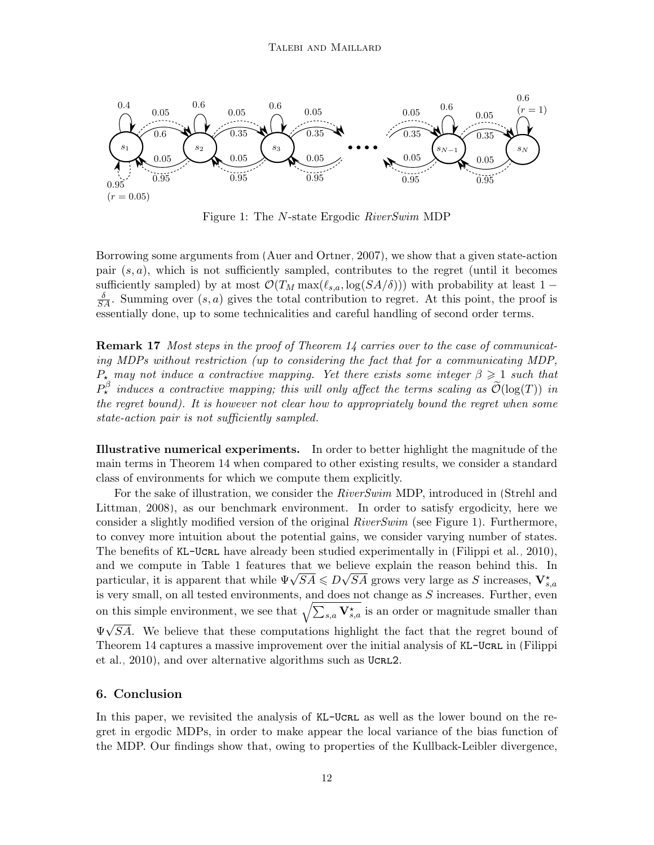<span id="page-11-0"></span>

Figure 1: The N-state Ergodic RiverSwim MDP

Borrowing some arguments from [\(Auer and Ortner, 2007\)](#page-12-0), we show that a given state-action pair  $(s, a)$ , which is not sufficiently sampled, contributes to the regret (until it becomes sufficiently sampled) by at most  $\mathcal{O}(T_M \max(\ell_{s,a}, \log(SA/\delta)))$  with probability at least 1 −  $\frac{\delta}{SA}$ . Summing over  $(s, a)$  gives the total contribution to regret. At this point, the proof is essentially done, up to some technicalities and careful handling of second order terms.

**Remark 17** Most steps in the proof of Theorem [14](#page-8-2) carries over to the case of communicating MDPs without restriction (up to considering the fact that for a communicating MDP,  $P_{\star}$  may not induce a contractive mapping. Yet there exists some integer  $\beta \geq 1$  such that  $P^{\beta}_{\star}$  induces a contractive mapping; this will only affect the terms scaling as  $\widetilde{\mathcal{O}}(\log(T))$  in the regret bound). It is however not clear how to appropriately bound the regret when some state-action pair is not sufficiently sampled.

Illustrative numerical experiments. In order to better highlight the magnitude of the main terms in Theorem [14](#page-8-2) when compared to other existing results, we consider a standard class of environments for which we compute them explicitly.

For the sake of illustration, we consider the RiverSwim MDP, introduced in [\(Strehl and](#page-14-4) [Littman, 2008\)](#page-14-4), as our benchmark environment. In order to satisfy ergodicity, here we consider a slightly modified version of the original  $RiverSwim$  (see Figure [1\)](#page-11-0). Furthermore, to convey more intuition about the potential gains, we consider varying number of states. The benefits of KL-Ucrl have already been studied experimentally in [\(Filippi et al., 2010\)](#page-13-4), and we compute in Table [1](#page-12-3) features that we believe explain the reason behind this. In and we compute in Table 1 reatures that we believe explain the reason benind this. In particular, it is apparent that while  $\Psi\sqrt{SA} \leq D\sqrt{SA}$  grows very large as S increases,  $\mathbf{V}_{s,a}^{\star}$ is very small, on all tested environments, and does not change as  $S$  increases. Further, even on this simple environment, we see that  $\sqrt{\sum_{s,a} \mathbf{V}^*_{s,a}}$  is an order or magnitude smaller than  $\Psi\sqrt{SA}$ . We believe that these computations highlight the fact that the regret bound of Theorem [14](#page-8-2) captures a massive improvement over the initial analysis of KL-UcrL in [\(Filippi](#page-13-4) [et al., 2010\)](#page-13-4), and over alternative algorithms such as UCRL2.

### 6. Conclusion

In this paper, we revisited the analysis of KL-UCRL as well as the lower bound on the regret in ergodic MDPs, in order to make appear the local variance of the bias function of the MDP. Our findings show that, owing to properties of the Kullback-Leibler divergence,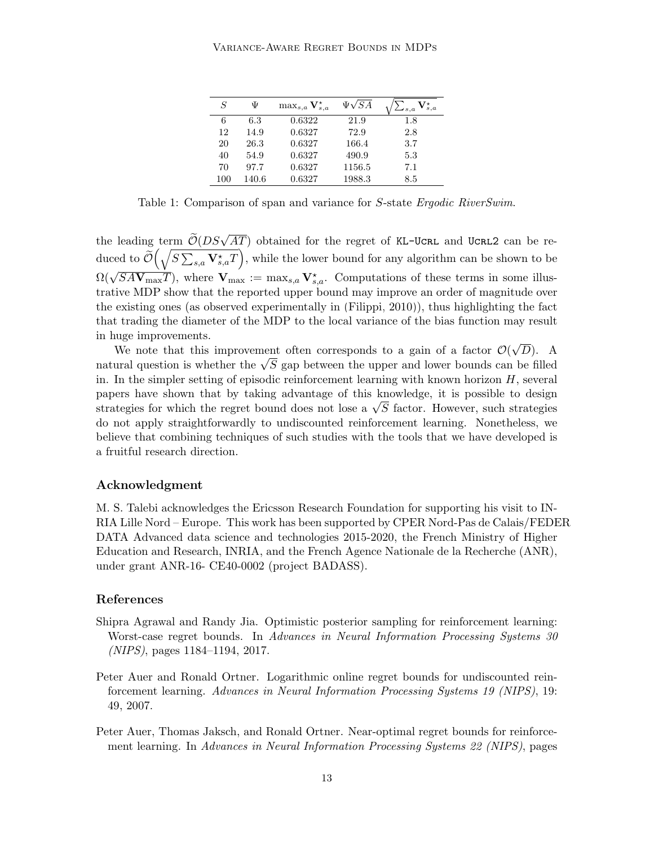<span id="page-12-3"></span>

| S   | Ψ     | $\max_{s,a} \mathbf V_{s,a}^\star$ | $\Psi\sqrt{SA}$ | $\tau_{s,a}$<br>$\mathcal{L}_{s,a}$ |
|-----|-------|------------------------------------|-----------------|-------------------------------------|
| 6   | 6.3   | 0.6322                             | 21.9            | 1.8                                 |
| 12  | 14.9  | 0.6327                             | 72.9            | 2.8                                 |
| 20  | 26.3  | 0.6327                             | 166.4           | 3.7                                 |
| 40  | 54.9  | 0.6327                             | 490.9           | 5.3                                 |
| 70  | 97.7  | 0.6327                             | 1156.5          | 7.1                                 |
| 100 | 140.6 | 0.6327                             | 1988.3          | 8.5                                 |

Table 1: Comparison of span and variance for S-state Ergodic RiverSwim.

the leading term  $\widetilde{\mathcal{O}}(DS\sqrt{AT})$  obtained for the regret of KL-UCRL and UCRL2 can be reduced to  $\widetilde{\mathcal{O}}\left(\sqrt{S\sum_{s,a}\mathbf{V}^\star_{s,a}T}\right)$ , while the lower bound for any algorithm can be shown to be  $\Omega(\sqrt{SAV_{\text{max}}T})$ , where  $V_{\text{max}} := \max_{s,a} V_{s,a}^*$ . Computations of these terms in some illustrative MDP show that the reported upper bound may improve an order of magnitude over the existing ones (as observed experimentally in [\(Filippi, 2010\)](#page-13-11)), thus highlighting the fact that trading the diameter of the MDP to the local variance of the bias function may result in huge improvements. √

We note that this improvement often corresponds to a gain of a factor  $\mathcal{O}(\mathcal{O})$ D). A We note that this improvement often corresponds to a gain or a factor  $O(\sqrt{D})$ . A natural question is whether the  $\sqrt{S}$  gap between the upper and lower bounds can be filled in. In the simpler setting of episodic reinforcement learning with known horizon  $H$ , several papers have shown that by taking advantage of this knowledge, it is possible to design papers nave snown that by taking advantage of this knowledge, it is possible to design<br>strategies for which the regret bound does not lose a  $\sqrt{S}$  factor. However, such strategies do not apply straightforwardly to undiscounted reinforcement learning. Nonetheless, we believe that combining techniques of such studies with the tools that we have developed is a fruitful research direction.

### Acknowledgment

M. S. Talebi acknowledges the Ericsson Research Foundation for supporting his visit to IN-RIA Lille Nord – Europe. This work has been supported by CPER Nord-Pas de Calais/FEDER DATA Advanced data science and technologies 2015-2020, the French Ministry of Higher Education and Research, INRIA, and the French Agence Nationale de la Recherche (ANR), under grant ANR-16- CE40-0002 (project BADASS).

# References

- <span id="page-12-2"></span>Shipra Agrawal and Randy Jia. Optimistic posterior sampling for reinforcement learning: Worst-case regret bounds. In Advances in Neural Information Processing Systems 30 (NIPS), pages 1184–1194, 2017.
- <span id="page-12-0"></span>Peter Auer and Ronald Ortner. Logarithmic online regret bounds for undiscounted reinforcement learning. Advances in Neural Information Processing Systems 19 (NIPS), 19: 49, 2007.
- <span id="page-12-1"></span>Peter Auer, Thomas Jaksch, and Ronald Ortner. Near-optimal regret bounds for reinforcement learning. In Advances in Neural Information Processing Systems 22 (NIPS), pages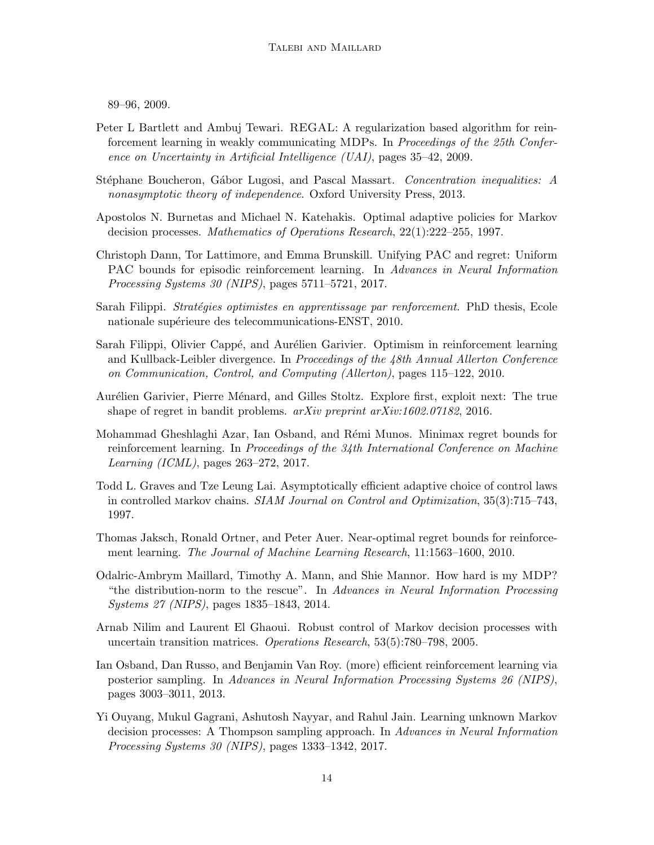89–96, 2009.

- <span id="page-13-2"></span>Peter L Bartlett and Ambuj Tewari. REGAL: A regularization based algorithm for reinforcement learning in weakly communicating MDPs. In Proceedings of the 25th Conference on Uncertainty in Artificial Intelligence (UAI), pages 35–42, 2009.
- <span id="page-13-12"></span>Stéphane Boucheron, Gábor Lugosi, and Pascal Massart. Concentration inequalities: A nonasymptotic theory of independence. Oxford University Press, 2013.
- <span id="page-13-1"></span>Apostolos N. Burnetas and Michael N. Katehakis. Optimal adaptive policies for Markov decision processes. Mathematics of Operations Research, 22(1):222–255, 1997.
- <span id="page-13-10"></span>Christoph Dann, Tor Lattimore, and Emma Brunskill. Unifying PAC and regret: Uniform PAC bounds for episodic reinforcement learning. In Advances in Neural Information Processing Systems 30 (NIPS), pages 5711–5721, 2017.
- <span id="page-13-11"></span>Sarah Filippi. *Stratégies optimistes en apprentissage par renforcement*. PhD thesis, Ecole nationale supérieure des telecommunications-ENST, 2010.
- <span id="page-13-4"></span>Sarah Filippi, Olivier Cappé, and Aurélien Garivier. Optimism in reinforcement learning and Kullback-Leibler divergence. In Proceedings of the 48th Annual Allerton Conference on Communication, Control, and Computing (Allerton), pages 115–122, 2010.
- <span id="page-13-13"></span>Aurélien Garivier, Pierre Ménard, and Gilles Stoltz. Explore first, exploit next: The true shape of regret in bandit problems. arXiv preprint arXiv:1602.07182, 2016.
- <span id="page-13-9"></span>Mohammad Gheshlaghi Azar, Ian Osband, and Rémi Munos. Minimax regret bounds for reinforcement learning. In Proceedings of the 34th International Conference on Machine Learning (ICML), pages 263–272, 2017.
- <span id="page-13-5"></span>Todd L. Graves and Tze Leung Lai. Asymptotically efficient adaptive choice of control laws in controlled markov chains. SIAM Journal on Control and Optimization, 35(3):715–743, 1997.
- <span id="page-13-0"></span>Thomas Jaksch, Ronald Ortner, and Peter Auer. Near-optimal regret bounds for reinforcement learning. The Journal of Machine Learning Research, 11:1563–1600, 2010.
- <span id="page-13-6"></span>Odalric-Ambrym Maillard, Timothy A. Mann, and Shie Mannor. How hard is my MDP? "the distribution-norm to the rescue". In Advances in Neural Information Processing Systems 27 (NIPS), pages 1835–1843, 2014.
- <span id="page-13-3"></span>Arnab Nilim and Laurent El Ghaoui. Robust control of Markov decision processes with uncertain transition matrices. Operations Research, 53(5):780–798, 2005.
- <span id="page-13-8"></span>Ian Osband, Dan Russo, and Benjamin Van Roy. (more) efficient reinforcement learning via posterior sampling. In Advances in Neural Information Processing Systems 26 (NIPS), pages 3003–3011, 2013.
- <span id="page-13-7"></span>Yi Ouyang, Mukul Gagrani, Ashutosh Nayyar, and Rahul Jain. Learning unknown Markov decision processes: A Thompson sampling approach. In Advances in Neural Information Processing Systems 30 (NIPS), pages 1333–1342, 2017.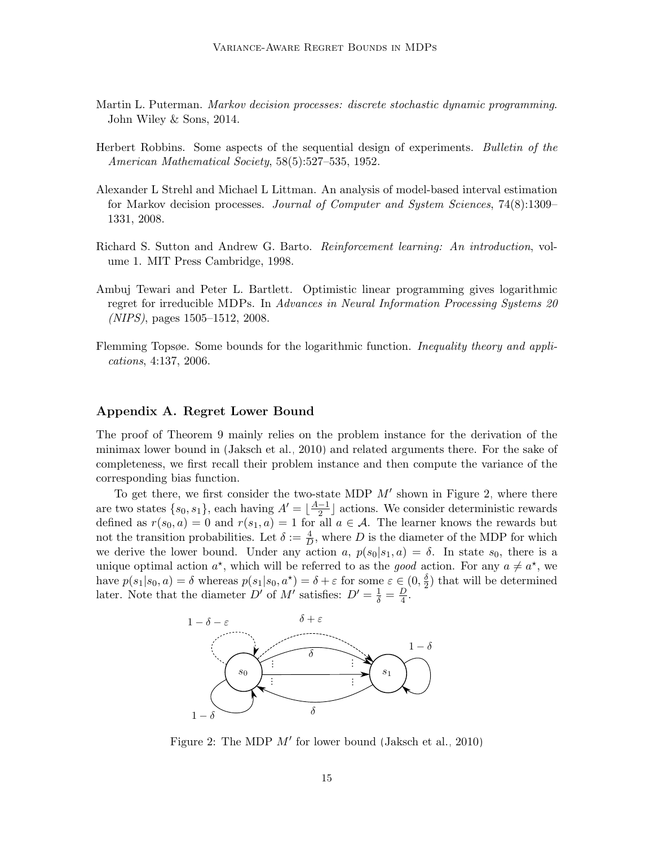- <span id="page-14-1"></span>Martin L. Puterman. Markov decision processes: discrete stochastic dynamic programming. John Wiley & Sons, 2014.
- <span id="page-14-2"></span>Herbert Robbins. Some aspects of the sequential design of experiments. Bulletin of the American Mathematical Society, 58(5):527–535, 1952.
- <span id="page-14-4"></span>Alexander L Strehl and Michael L Littman. An analysis of model-based interval estimation for Markov decision processes. Journal of Computer and System Sciences, 74(8):1309– 1331, 2008.
- <span id="page-14-0"></span>Richard S. Sutton and Andrew G. Barto. Reinforcement learning: An introduction, volume 1. MIT Press Cambridge, 1998.
- <span id="page-14-3"></span>Ambuj Tewari and Peter L. Bartlett. Optimistic linear programming gives logarithmic regret for irreducible MDPs. In Advances in Neural Information Processing Systems 20 (NIPS), pages 1505–1512, 2008.
- <span id="page-14-6"></span>Flemming Topsøe. Some bounds for the logarithmic function. *Inequality theory and appli*cations, 4:137, 2006.

# Appendix A. Regret Lower Bound

The proof of Theorem [9](#page-6-0) mainly relies on the problem instance for the derivation of the minimax lower bound in [\(Jaksch et al., 2010\)](#page-13-0) and related arguments there. For the sake of completeness, we first recall their problem instance and then compute the variance of the corresponding bias function.

To get there, we first consider the two-state MDP  $M'$  shown in Figure [2,](#page-14-5) where there are two states  $\{s_0, s_1\}$ , each having  $A' = \lfloor \frac{A-1}{2} \rfloor$  $\frac{-1}{2}$  actions. We consider deterministic rewards defined as  $r(s_0, a) = 0$  and  $r(s_1, a) = 1$  for all  $a \in \mathcal{A}$ . The learner knows the rewards but not the transition probabilities. Let  $\delta := \frac{4}{D}$ , where D is the diameter of the MDP for which we derive the lower bound. Under any action a,  $p(s_0|s_1, a) = \delta$ . In state  $s_0$ , there is a unique optimal action  $a^*$ , which will be referred to as the good action. For any  $a \neq a^*$ , we have  $p(s_1|s_0, a) = \delta$  whereas  $p(s_1|s_0, a^*) = \delta + \varepsilon$  for some  $\varepsilon \in (0, \frac{\delta}{2})$  $\frac{\delta}{2}$ ) that will be determined later. Note that the diameter  $D'$  of  $M'$  satisfies:  $D' = \frac{1}{\delta} = \frac{D}{4}$  $\frac{D}{4}$ .

<span id="page-14-5"></span>

Figure 2: The MDP  $M'$  for lower bound [\(Jaksch et al., 2010\)](#page-13-0)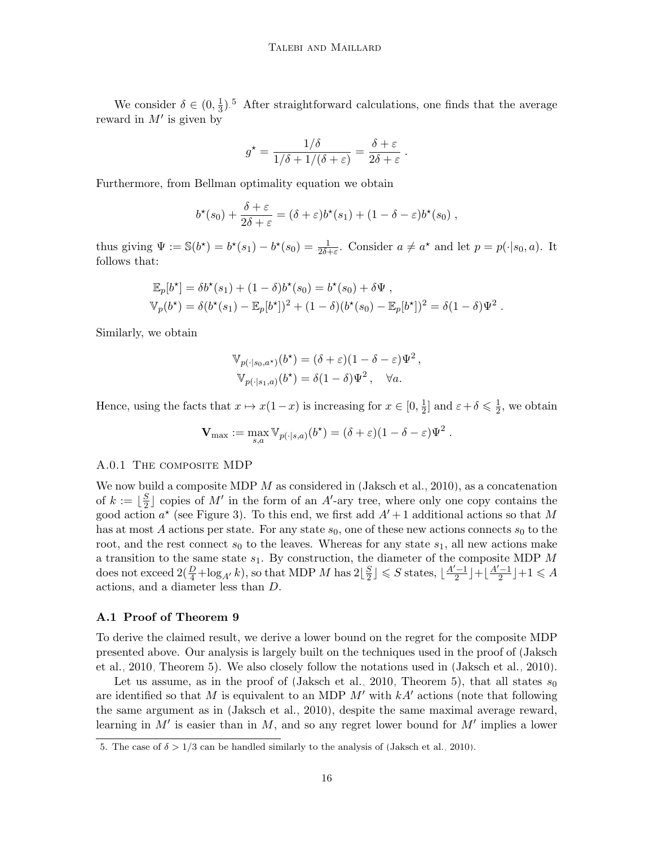We consider  $\delta \in (0, \frac{1}{3})$  $\frac{1}{3}$ ).<sup>[5](#page-15-0)</sup> After straightforward calculations, one finds that the average reward in  $M'$  is given by

$$
g^* = \frac{1/\delta}{1/\delta + 1/(\delta + \varepsilon)} = \frac{\delta + \varepsilon}{2\delta + \varepsilon}
$$

.

Furthermore, from Bellman optimality equation we obtain

$$
b^{\star}(s_0) + \frac{\delta + \varepsilon}{2\delta + \varepsilon} = (\delta + \varepsilon)b^{\star}(s_1) + (1 - \delta - \varepsilon)b^{\star}(s_0),
$$

thus giving  $\Psi := \mathbb{S}(b^*) = b^*(s_1) - b^*(s_0) = \frac{1}{2\delta + \varepsilon}$ . Consider  $a \neq a^*$  and let  $p = p(\cdot|s_0, a)$ . It follows that:

$$
\mathbb{E}_p[b^\star] = \delta b^\star(s_1) + (1 - \delta)b^\star(s_0) = b^\star(s_0) + \delta \Psi,
$$
  
\n
$$
\mathbb{V}_p(b^\star) = \delta(b^\star(s_1) - \mathbb{E}_p[b^\star])^2 + (1 - \delta)(b^\star(s_0) - \mathbb{E}_p[b^\star])^2 = \delta(1 - \delta)\Psi^2.
$$

Similarly, we obtain

$$
\mathbb{V}_{p(\cdot|s_0,a^*)}(b^*) = (\delta + \varepsilon)(1 - \delta - \varepsilon)\Psi^2,
$$
  

$$
\mathbb{V}_{p(\cdot|s_1,a)}(b^*) = \delta(1 - \delta)\Psi^2, \quad \forall a.
$$

Hence, using the facts that  $x \mapsto x(1-x)$  is increasing for  $x \in [0, \frac{1}{2}]$  $\frac{1}{2}$  and  $\varepsilon + \delta \leqslant \frac{1}{2}$  $\frac{1}{2}$ , we obtain

$$
\mathbf{V}_{\max} := \max_{s,a} \mathbb{V}_{p(\cdot|s,a)}(b^*) = (\delta + \varepsilon)(1 - \delta - \varepsilon)\Psi^2.
$$

#### A.0.1 THE COMPOSITE MDP

We now build a composite MDP  $M$  as considered in [\(Jaksch et al., 2010\)](#page-13-0), as a concatenation of  $k := \lfloor \frac{S}{2} \rfloor$  $\frac{S}{2}$  copies of M' in the form of an A'-ary tree, where only one copy contains the good action  $a^*$  (see Figure [3\)](#page-16-0). To this end, we first add  $A' + 1$  additional actions so that M has at most A actions per state. For any state  $s_0$ , one of these new actions connects  $s_0$  to the root, and the rest connect  $s_0$  to the leaves. Whereas for any state  $s_1$ , all new actions make a transition to the same state  $s_1$ . By construction, the diameter of the composite MDP  $M$ does not exceed  $2(\frac{D}{4} + \log_{A'} k)$ , so that MDP M has  $2\lfloor \frac{S}{2} \rfloor$  $\frac{S}{2}$   $\rfloor \leqslant S$  states,  $\lfloor \frac{A'-1}{2} \rfloor$  $\frac{(-1)}{2}$  +  $\frac{A'-1}{2}$  $\frac{(-1)}{2}$  +1  $\leqslant$  A actions, and a diameter less than D.

### A.1 Proof of Theorem [9](#page-6-0)

To derive the claimed result, we derive a lower bound on the regret for the composite MDP presented above. Our analysis is largely built on the techniques used in the proof of [\(Jaksch](#page-13-0) [et al., 2010,](#page-13-0) Theorem 5). We also closely follow the notations used in [\(Jaksch et al., 2010\)](#page-13-0).

Let us assume, as in the proof of [\(Jaksch et al., 2010,](#page-13-0) Theorem 5), that all states  $s_0$ are identified so that M is equivalent to an MDP  $M'$  with  $kA'$  actions (note that following the same argument as in [\(Jaksch et al., 2010\)](#page-13-0), despite the same maximal average reward, learning in  $M'$  is easier than in M, and so any regret lower bound for  $M'$  implies a lower

<span id="page-15-0"></span><sup>5.</sup> The case of  $\delta > 1/3$  can be handled similarly to the analysis of [\(Jaksch et al., 2010\)](#page-13-0).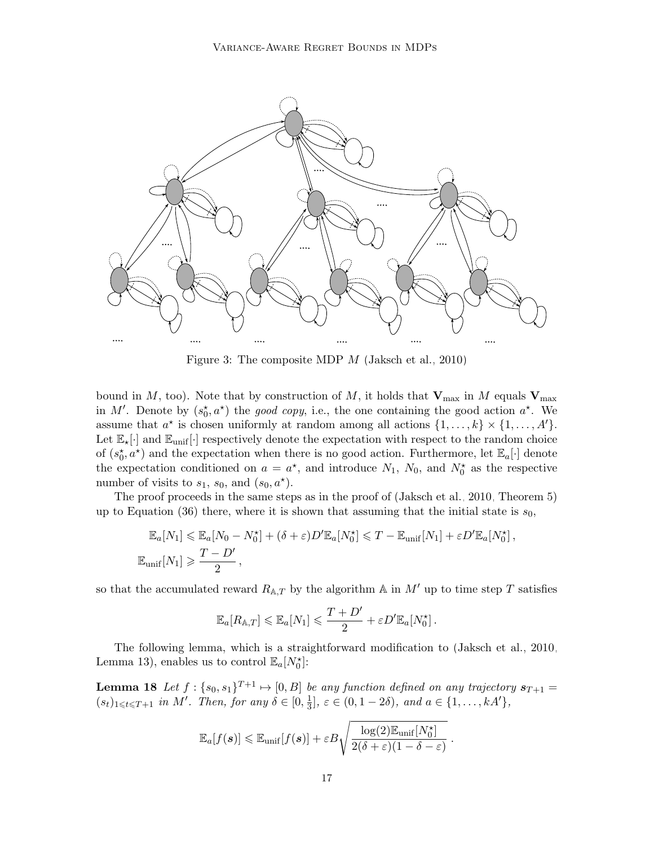<span id="page-16-0"></span>

Figure 3: The composite MDP M [\(Jaksch et al., 2010\)](#page-13-0)

bound in M, too). Note that by construction of M, it holds that  $V_{\text{max}}$  in M equals  $V_{\text{max}}$ in M'. Denote by  $(s_0^*, a^*)$  the good copy, i.e., the one containing the good action  $a^*$ . We assume that  $a^*$  is chosen uniformly at random among all actions  $\{1, \ldots, k\} \times \{1, \ldots, A'\}.$ Let  $\mathbb{E}_{\star}[\cdot]$  and  $\mathbb{E}_{\text{unif}}[\cdot]$  respectively denote the expectation with respect to the random choice of  $(s_0^{\star}, a^{\star})$  and the expectation when there is no good action. Furthermore, let  $\mathbb{E}_a[\cdot]$  denote the expectation conditioned on  $a = a^*$ , and introduce  $N_1$ ,  $N_0$ , and  $N_0^*$  as the respective number of visits to  $s_1$ ,  $s_0$ , and  $(s_0, a^*)$ .

The proof proceeds in the same steps as in the proof of [\(Jaksch et al., 2010,](#page-13-0) Theorem 5) up to Equation (36) there, where it is shown that assuming that the initial state is  $s_0$ ,

$$
\mathbb{E}_a[N_1] \leq \mathbb{E}_a[N_0 - N_0^{\star}] + (\delta + \varepsilon)D'\mathbb{E}_a[N_0^{\star}] \leq T - \mathbb{E}_{\text{unif}}[N_1] + \varepsilon D'\mathbb{E}_a[N_0^{\star}],
$$
  

$$
\mathbb{E}_{\text{unif}}[N_1] \geq \frac{T - D'}{2},
$$

so that the accumulated reward  $R_{A,T}$  by the algorithm A in M' up to time step T satisfies

$$
\mathbb{E}_a[R_{\mathbb{A},T}] \leqslant \mathbb{E}_a[N_1] \leqslant \frac{T+D'}{2} + \varepsilon D' \mathbb{E}_a[N_0^{\star}].
$$

The following lemma, which is a straightforward modification to [\(Jaksch et al., 2010,](#page-13-0) Lemma 13), enables us to control  $\mathbb{E}_a[N_0^{\star}]$ :

<span id="page-16-1"></span>**Lemma 18** Let  $f: \{s_0, s_1\}^{T+1} \mapsto [0, B]$  be any function defined on any trajectory  $s_{T+1} =$  $(s_t)_{1 \leqslant t \leqslant T+1}$  in M'. Then, for any  $\delta \in [0, \frac{1}{3}]$  $\frac{1}{3}$ ,  $\varepsilon \in (0, 1-2\delta)$ , and  $a \in \{1, ..., kA'\}$ ,

$$
\mathbb{E}_a[f(\boldsymbol{s})] \leqslant \mathbb{E}_{\text{unif}}[f(\boldsymbol{s})] + \varepsilon B \sqrt{\frac{\log(2)\mathbb{E}_{\text{unif}}[N_0^{\star}]}{2(\delta + \varepsilon)(1 - \delta - \varepsilon)}}\ .
$$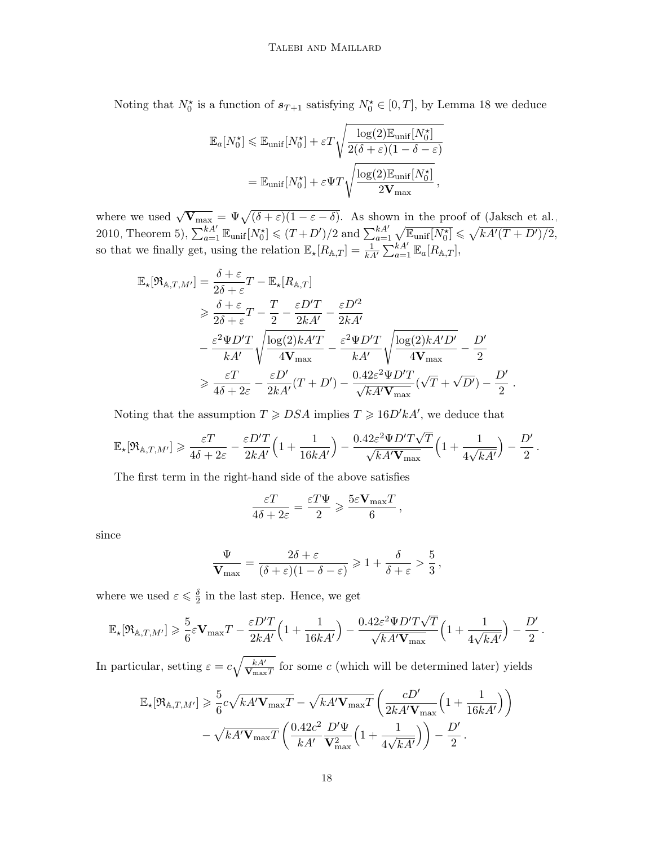Noting that  $N_0^*$  is a function of  $s_{T+1}$  satisfying  $N_0^* \in [0,T]$ , by Lemma [18](#page-16-1) we deduce

$$
\mathbb{E}_{a}[N_{0}^{\star}] \leq \mathbb{E}_{\text{unif}}[N_{0}^{\star}] + \varepsilon T \sqrt{\frac{\log(2)\mathbb{E}_{\text{unif}}[N_{0}^{\star}]}{2(\delta + \varepsilon)(1 - \delta - \varepsilon)}}
$$

$$
= \mathbb{E}_{\text{unif}}[N_{0}^{\star}] + \varepsilon \Psi T \sqrt{\frac{\log(2)\mathbb{E}_{\text{unif}}[N_{0}^{\star}]}{2\mathbf{V}_{\text{max}}}},
$$

where we used  $\sqrt{\mathbf{V}_{\text{max}}} = \Psi \sqrt{(\delta + \varepsilon)(1 - \varepsilon - \delta)}$ . As shown in the proof of [\(Jaksch et al.,](#page-13-0) [2010,](#page-13-0) Theorem 5),  $\sum_{a=1}^{kA'} \mathbb{E}_{\text{unif}}[N_0^{\star}] \leq (T+D')/2$  and  $\sum_{a=1}^{kA'} \sqrt{\mathbb{E}_{\text{unif}}[N_0^{\star}]} \leq \sqrt{kA'(T+D')/2}$ , so that we finally get, using the relation  $\mathbb{E}_{\star}[R_{\mathbb{A},T}] = \frac{1}{kA} \sum_{a=1}^{kA'} \mathbb{E}_{a}[R_{\mathbb{A},T}],$ 

$$
\mathbb{E}_{\star}[\mathfrak{R}_{\mathbb{A},T,M'}] = \frac{\delta + \varepsilon}{2\delta + \varepsilon}T - \mathbb{E}_{\star}[R_{\mathbb{A},T}] \n\geqslant \frac{\delta + \varepsilon}{2\delta + \varepsilon}T - \frac{T}{2} - \frac{\varepsilon D'T}{2kA'} - \frac{\varepsilon D'^2}{2kA'} \n- \frac{\varepsilon^2 \Psi D'T}{kA'} \sqrt{\frac{\log(2)kA'T}{4\mathbf{V}_{\max}}} - \frac{\varepsilon^2 \Psi D'T}{kA'} \sqrt{\frac{\log(2)kA'D'}{4\mathbf{V}_{\max}}} - \frac{D'}{2} \n\geqslant \frac{\varepsilon T}{4\delta + 2\varepsilon} - \frac{\varepsilon D'}{2kA'}(T + D') - \frac{0.42\varepsilon^2 \Psi D'T}{\sqrt{kA'\mathbf{V}_{\max}}}(\sqrt{T} + \sqrt{D'}) - \frac{D'}{2}.
$$

Noting that the assumption  $T \geqslant DSA$  implies  $T \geqslant 16D'kA'$ , we deduce that

$$
\mathbb{E}_\star[\mathfrak{R}_{\mathbb{A},T,M'}]\geqslant \frac{\varepsilon T}{4\delta+2\varepsilon}-\frac{\varepsilon D'T}{2kA'}\Big(1+\frac{1}{16kA'}\Big)-\frac{0.42\varepsilon^2\Psi D'T\sqrt{T}}{\sqrt{kA'\mathbf{V}_{\max}}}\Big(1+\frac{1}{4\sqrt{kA'}}\Big)-\frac{D'}{2}\,.
$$

The first term in the right-hand side of the above satisfies

$$
\frac{\varepsilon T}{4\delta + 2\varepsilon} = \frac{\varepsilon T \Psi}{2} \geqslant \frac{5\varepsilon \mathbf{V}_{\text{max}} T}{6},
$$

since

$$
\frac{\Psi}{\mathbf{V}_{\max}} = \frac{2\delta + \varepsilon}{(\delta + \varepsilon)(1 - \delta - \varepsilon)} \geqslant 1 + \frac{\delta}{\delta + \varepsilon} > \frac{5}{3},
$$

where we used  $\varepsilon \leqslant \frac{\delta}{2}$  $\frac{\delta}{2}$  in the last step. Hence, we get

$$
\mathbb{E}_\star[\mathfrak{R}_{\mathbb{A},T,M'}]\geqslant \frac{5}{6}\varepsilon\mathbf{V}_{\max}T-\frac{\varepsilon D'T}{2kA'}\Big(1+\frac{1}{16kA'}\Big)-\frac{0.42\varepsilon^2\Psi D'T\sqrt{T}}{\sqrt{kA'\mathbf{V}_{\max}}}\Big(1+\frac{1}{4\sqrt{kA'}}\Big)-\frac{D'}{2}\,.
$$

In particular, setting  $\varepsilon = c \sqrt{\frac{k A'}{V}}$  $\frac{kA'}{\mathbf{V}_{\text{max}}T}$  for some c (which will be determined later) yields

$$
\mathbb{E}_{\mathbf{x}}[\mathfrak{R}_{\mathbb{A},T,M'}] \geq \frac{5}{6}c\sqrt{kA'\mathbf{V}_{\max}T} - \sqrt{kA'\mathbf{V}_{\max}T} \left(\frac{cD'}{2kA'\mathbf{V}_{\max}}\left(1 + \frac{1}{16kA'}\right)\right) -\sqrt{kA'\mathbf{V}_{\max}T} \left(\frac{0.42c^2}{kA'}\frac{D'\Psi}{\mathbf{V}_{\max}^2}\left(1 + \frac{1}{4\sqrt{kA'}}\right)\right) - \frac{D'}{2}.
$$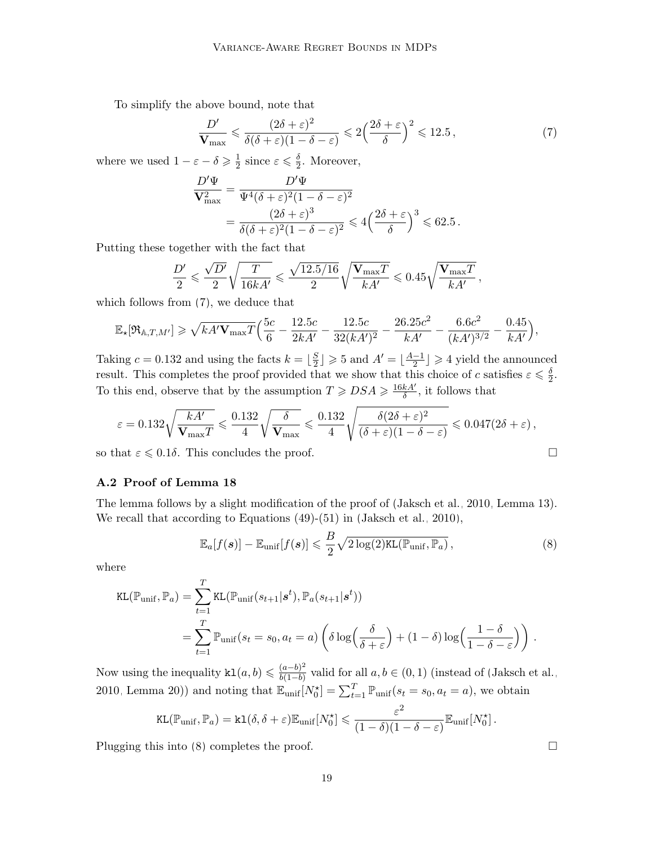To simplify the above bound, note that

<span id="page-18-0"></span>
$$
\frac{D'}{\mathbf{V}_{\text{max}}} \leqslant \frac{(2\delta + \varepsilon)^2}{\delta(\delta + \varepsilon)(1 - \delta - \varepsilon)} \leqslant 2\left(\frac{2\delta + \varepsilon}{\delta}\right)^2 \leqslant 12.5\,,\tag{7}
$$

where we used  $1 - \varepsilon - \delta \geqslant \frac{1}{2}$  $\frac{1}{2}$  since  $\varepsilon \leqslant \frac{\delta}{2}$  $\frac{\delta}{2}$ . Moreover,

$$
\frac{D'\Psi}{\mathbf{V}_{\max}^2} = \frac{D'\Psi}{\Psi^4(\delta+\varepsilon)^2(1-\delta-\varepsilon)^2}
$$
  
= 
$$
\frac{(2\delta+\varepsilon)^3}{\delta(\delta+\varepsilon)^2(1-\delta-\varepsilon)^2} \leq 4\left(\frac{2\delta+\varepsilon}{\delta}\right)^3 \leq 62.5.
$$

Putting these together with the fact that

$$
\frac{D'}{2} \leqslant \frac{\sqrt{D'}}{2} \sqrt{\frac{T}{16kA'}} \leqslant \frac{\sqrt{12.5/16}}{2} \sqrt{\frac{\mathbf{V}_{\max}T}{kA'}} \leqslant 0.45 \sqrt{\frac{\mathbf{V}_{\max}T}{kA'}},
$$

which follows from [\(7\)](#page-18-0), we deduce that

$$
\mathbb{E}_{\star}[\Re_{\mathbb{A},T,M'}] \geq \sqrt{kA'\mathbf{V}_{\max}T}\Big(\frac{5c}{6}-\frac{12.5c}{2kA'}-\frac{12.5c}{32(kA')^2}-\frac{26.25c^2}{kA'}-\frac{6.6c^2}{(kA')^{3/2}}-\frac{0.45}{kA'}\Big),
$$

Taking  $c = 0.132$  and using the facts  $k = \frac{S}{2}$  $\lfloor \frac{S}{2} \rfloor \geqslant 5$  and  $A' = \lfloor \frac{A-1}{2} \rfloor$  $\frac{-1}{2}$   $\geqslant$  4 yield the announced result. This completes the proof provided that we show that this choice of c satisfies  $\varepsilon \leq \frac{\delta}{2}$  $\frac{\delta}{2}$ . To this end, observe that by the assumption  $T \geqslant DSA \geqslant \frac{16kA'}{8}$  $\frac{kA'}{\delta}$ , it follows that

$$
\varepsilon = 0.132 \sqrt{\frac{kA'}{\mathbf{V}_{\max}T}} \leqslant \frac{0.132}{4} \sqrt{\frac{\delta}{\mathbf{V}_{\max}}} \leqslant \frac{0.132}{4} \sqrt{\frac{\delta(2\delta + \varepsilon)^2}{(\delta + \varepsilon)(1 - \delta - \varepsilon)}} \leqslant 0.047(2\delta + \varepsilon),
$$

so that  $\varepsilon \leq 0.1\delta$ . This concludes the proof.

# A.2 Proof of Lemma [18](#page-16-1)

The lemma follows by a slight modification of the proof of [\(Jaksch et al., 2010,](#page-13-0) Lemma 13). We recall that according to Equations (49)-(51) in [\(Jaksch et al., 2010\)](#page-13-0),

<span id="page-18-1"></span>
$$
\mathbb{E}_a[f(\boldsymbol{s})] - \mathbb{E}_{\text{unif}}[f(\boldsymbol{s})] \leqslant \frac{B}{2} \sqrt{2 \log(2) \text{KL}(\mathbb{P}_{\text{unif}}, \mathbb{P}_a)},\tag{8}
$$

where

$$
\text{KL}(\mathbb{P}_{\text{unif}}, \mathbb{P}_a) = \sum_{t=1}^T \text{KL}(\mathbb{P}_{\text{unif}}(s_{t+1}|\mathbf{s}^t), \mathbb{P}_a(s_{t+1}|\mathbf{s}^t))
$$
  
= 
$$
\sum_{t=1}^T \mathbb{P}_{\text{unif}}(s_t = s_0, a_t = a) \left( \delta \log \left( \frac{\delta}{\delta + \varepsilon} \right) + (1 - \delta) \log \left( \frac{1 - \delta}{1 - \delta - \varepsilon} \right) \right).
$$

Now using the inequality  $\texttt{kl}(a, b) \leqslant \frac{(a-b)^2}{b(1-b)}$  $\frac{(a-b)^2}{b(1-b)}$  valid for all  $a, b \in (0,1)$  (instead of [\(Jaksch et al.,](#page-13-0) [2010,](#page-13-0) Lemma 20)) and noting that  $\mathbb{E}_{unif}[N_0^{\star}] = \sum_{t=1}^T \mathbb{P}_{unif}(s_t = s_0, a_t = a)$ , we obtain

$$
\text{KL}(\mathbb{P}_{\text{unif}}, \mathbb{P}_a) = \text{k1}(\delta, \delta + \varepsilon) \mathbb{E}_{\text{unif}}[N_0^{\star}] \leq \frac{\varepsilon^2}{(1 - \delta)(1 - \delta - \varepsilon)} \mathbb{E}_{\text{unif}}[N_0^{\star}].
$$

Plugging this into  $(8)$  completes the proof.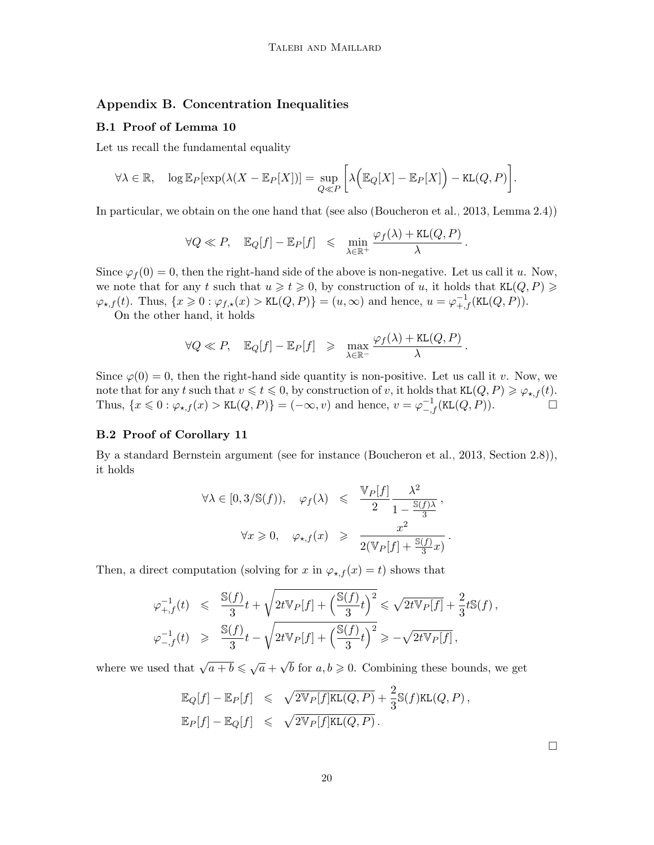# Appendix B. Concentration Inequalities

#### B.1 Proof of Lemma [10](#page-6-2)

Let us recall the fundamental equality

$$
\forall \lambda \in \mathbb{R}, \quad \log \mathbb{E}_P[\exp(\lambda(X - \mathbb{E}_P[X]))] = \sup_{Q \ll P} \left[ \lambda \Big( \mathbb{E}_Q[X] - \mathbb{E}_P[X] \Big) - \text{KL}(Q, P) \right].
$$

In particular, we obtain on the one hand that (see also [\(Boucheron et al., 2013,](#page-13-12) Lemma 2.4))

$$
\forall Q \ll P, \quad \mathbb{E}_Q[f] - \mathbb{E}_P[f] \leq \min_{\lambda \in \mathbb{R}^+} \frac{\varphi_f(\lambda) + \text{KL}(Q, P)}{\lambda}.
$$

Since  $\varphi_f(0) = 0$ , then the right-hand side of the above is non-negative. Let us call it u. Now, we note that for any t such that  $u \geq t \geq 0$ , by construction of u, it holds that  $KL(Q, P) \geq$  $\varphi_{\star,f}(t)$ . Thus,  $\{x \geq 0 : \varphi_{f,\star}(x) > \text{KL}(Q, P)\} = (u, \infty)$  and hence,  $u = \varphi_{+,f}^{-1}(\text{KL}(Q, P)).$ 

On the other hand, it holds

$$
\forall Q \ll P, \quad \mathbb{E}_Q[f] - \mathbb{E}_P[f] \geq \max_{\lambda \in \mathbb{R}^-} \frac{\varphi_f(\lambda) + \texttt{KL}(Q, P)}{\lambda}.
$$

Since  $\varphi(0) = 0$ , then the right-hand side quantity is non-positive. Let us call it v. Now, we note that for any t such that  $v \leq t \leq 0$ , by construction of v, it holds that  $KL(Q, P) \geq \varphi_{\star,f}(t)$ . Thus,  $\{x \leq 0 : \varphi_{\star,f}(x) > \text{KL}(Q,P)\} = (-\infty, v)$  and hence,  $v = \varphi_{-f}^{-1}(\text{KL}(Q,P)).$ 

# B.2 Proof of Corollary [11](#page-7-1)

By a standard Bernstein argument (see for instance [\(Boucheron et al., 2013,](#page-13-12) Section 2.8)), it holds

$$
\forall \lambda \in [0, 3/\mathbb{S}(f)), \quad \varphi_f(\lambda) \leq \frac{\mathbb{V}_P[f]}{2} \frac{\lambda^2}{1 - \frac{\mathbb{S}(f)\lambda}{3}},
$$

$$
\forall x \geq 0, \quad \varphi_{\star,f}(x) \geq \frac{x^2}{2(\mathbb{V}_P[f] + \frac{\mathbb{S}(f)}{3}x)}
$$

.

Then, a direct computation (solving for x in  $\varphi_{\star,f}(x) = t$ ) shows that

$$
\begin{array}{lcl} \varphi^{-1}_{+,f}(t) & \leqslant & \displaystyle \frac{\mathbb{S}(f)}{3}t + \sqrt{2t\mathbb{V}_P[f] + \Big(\frac{\mathbb{S}(f)}{3}t\Big)^2} \leqslant \sqrt{2t\mathbb{V}_P[f]} + \frac{2}{3}t\mathbb{S}(f)\,, \\[0.5em] \varphi^{-1}_{-,f}(t) & \geqslant & \displaystyle \frac{\mathbb{S}(f)}{3}t - \sqrt{2t\mathbb{V}_P[f] + \Big(\frac{\mathbb{S}(f)}{3}t\Big)^2} \geqslant -\sqrt{2t\mathbb{V}_P[f]}\,, \end{array}
$$

where we used that  $\sqrt{a+b} \leq \sqrt{a} +$  $\sqrt{b}$  for  $a, b \geqslant 0$ . Combining these bounds, we get

$$
\mathbb{E}_Q[f] - \mathbb{E}_P[f] \leq \sqrt{2\mathbb{V}_P[f]\mathbb{K}\mathsf{L}(Q, P)} + \frac{2}{3}\mathbb{S}(f)\mathbb{K}\mathsf{L}(Q, P),
$$
  

$$
\mathbb{E}_P[f] - \mathbb{E}_Q[f] \leq \sqrt{2\mathbb{V}_P[f]\mathbb{K}\mathsf{L}(Q, P)}.
$$

 $\Box$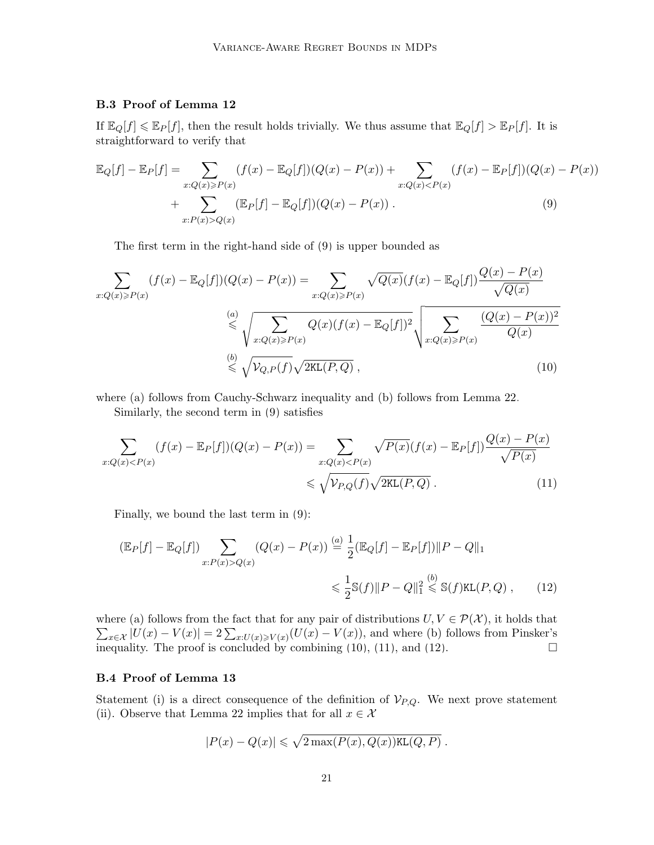# B.3 Proof of Lemma [12](#page-7-2)

If  $\mathbb{E}_Q[f] \leq \mathbb{E}_P[f]$ , then the result holds trivially. We thus assume that  $\mathbb{E}_Q[f] > \mathbb{E}_P[f]$ . It is straightforward to verify that

$$
\mathbb{E}_{Q}[f] - \mathbb{E}_{P}[f] = \sum_{x:Q(x)\geq P(x)} (f(x) - \mathbb{E}_{Q}[f])(Q(x) - P(x)) + \sum_{x:Q(x)< P(x)} (f(x) - \mathbb{E}_{P}[f])(Q(x) - P(x)) + \sum_{x:P(x)>Q(x)} (\mathbb{E}_{P}[f] - \mathbb{E}_{Q}[f])(Q(x) - P(x)) .
$$
\n(9)

<span id="page-20-0"></span>The first term in the right-hand side of [\(9\)](#page-20-0) is upper bounded as

$$
\sum_{x:Q(x)\geq P(x)} (f(x) - \mathbb{E}_{Q}[f])(Q(x) - P(x)) = \sum_{x:Q(x)\geq P(x)} \sqrt{Q(x)} (f(x) - \mathbb{E}_{Q}[f]) \frac{Q(x) - P(x)}{\sqrt{Q(x)}}
$$
  

$$
\stackrel{(a)}{\leq} \sqrt{\sum_{x:Q(x)\geq P(x)} Q(x) (f(x) - \mathbb{E}_{Q}[f])^2} \sqrt{\sum_{x:Q(x)\geq P(x)} \frac{(Q(x) - P(x))^2}{Q(x)}}
$$
  

$$
\stackrel{(b)}{\leq} \sqrt{\mathcal{V}_{Q,P}(f)} \sqrt{2\text{KL}(P,Q)},
$$
 (10)

where (a) follows from Cauchy-Schwarz inequality and (b) follows from Lemma [22.](#page-31-0)

<span id="page-20-1"></span>Similarly, the second term in [\(9\)](#page-20-0) satisfies

$$
\sum_{x:Q(x)
$$

Finally, we bound the last term in [\(9\)](#page-20-0):

$$
\begin{aligned} \left(\mathbb{E}_{P}[f] - \mathbb{E}_{Q}[f]\right) \sum_{x:P(x)>Q(x)} \left(Q(x) - P(x)\right) & \stackrel{(a)}{=} \frac{1}{2} \left(\mathbb{E}_{Q}[f] - \mathbb{E}_{P}[f]\right) ||P - Q||_{1} \\ &\leq \frac{1}{2} \mathbb{S}(f) ||P - Q||_{1}^{2} \stackrel{(b)}{\leq} \mathbb{S}(f) \text{KL}(P, Q) \;, \end{aligned} \tag{12}
$$

where (a) follows from the fact that for any pair of distributions  $U, V \in \mathcal{P}(\mathcal{X})$ , it holds that  $\sum_{x\in\mathcal{X}}|U(x)-V(x)|=2\sum_{x:U(x)\geq V(x)}(U(x)-V(x))$ , and where (b) follows from Pinsker's inequality. The proof is concluded by combining [\(10\)](#page-20-1), [\(11\)](#page-20-2), and [\(12\)](#page-20-3).

#### B.4 Proof of Lemma [13](#page-7-3)

Statement (i) is a direct consequence of the definition of  $V_{P,Q}$ . We next prove statement (ii). Observe that Lemma [22](#page-31-0) implies that for all  $x \in \mathcal{X}$ 

<span id="page-20-3"></span><span id="page-20-2"></span>
$$
|P(x) - Q(x)| \leq \sqrt{2 \max(P(x), Q(x)) \text{KL}(Q, P)}.
$$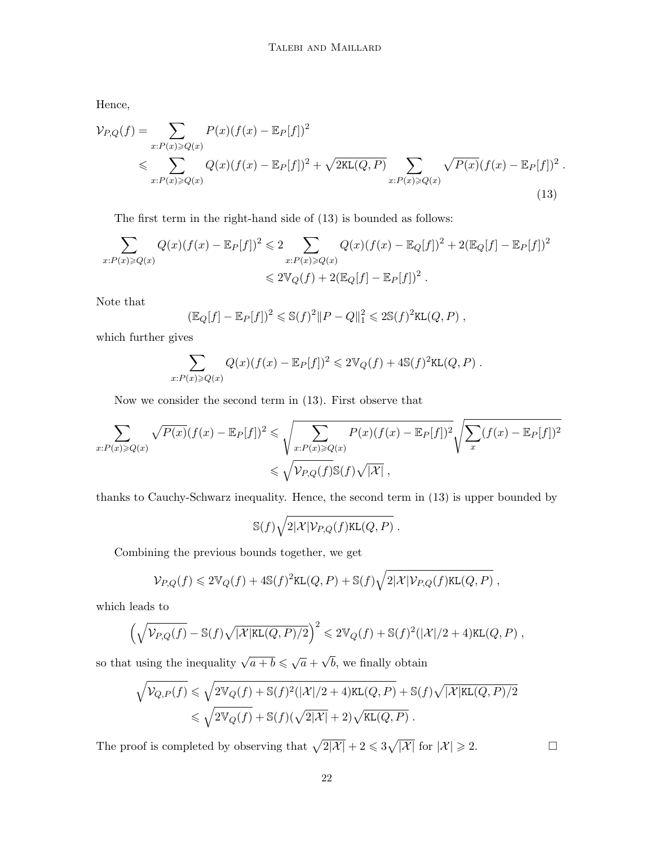Hence,

$$
\mathcal{V}_{P,Q}(f) = \sum_{x:P(x)\geqslant Q(x)} P(x)(f(x) - \mathbb{E}_P[f])^2
$$
  
\$\leqslant \sum\_{x:P(x)\geqslant Q(x)} Q(x)(f(x) - \mathbb{E}\_P[f])^2 + \sqrt{2KL(Q, P)} \sum\_{x:P(x)\geqslant Q(x)} \sqrt{P(x)}(f(x) - \mathbb{E}\_P[f])^2 .\$ (13)

The first term in the right-hand side of [\(13\)](#page-21-0) is bounded as follows:

$$
\sum_{x:P(x)\geq Q(x)} Q(x)(f(x) - \mathbb{E}_P[f])^2 \leq 2 \sum_{x:P(x)\geq Q(x)} Q(x)(f(x) - \mathbb{E}_Q[f])^2 + 2(\mathbb{E}_Q[f] - \mathbb{E}_P[f])^2
$$
  

$$
\leq 2\mathbb{V}_Q(f) + 2(\mathbb{E}_Q[f] - \mathbb{E}_P[f])^2.
$$

Note that

<span id="page-21-0"></span>
$$
(\mathbb{E}_Q[f] - \mathbb{E}_P[f])^2 \leq \mathbb{S}(f)^2 \|P - Q\|_1^2 \leq 2\mathbb{S}(f)^2 \text{KL}(Q, P) ,
$$

which further gives

$$
\sum_{x:P(x)\geqslant Q(x)} Q(x)(f(x)-\mathbb{E}_P[f])^2 \leqslant 2\mathbb{V}_Q(f) + 4\mathbb{S}(f)^2\text{KL}(Q,P) .
$$

Now we consider the second term in [\(13\)](#page-21-0). First observe that

$$
\sum_{x:P(x)\geqslant Q(x)} \sqrt{P(x)}(f(x)-\mathbb{E}_P[f])^2 \leqslant \sqrt{\sum_{x:P(x)\geqslant Q(x)} P(x)(f(x)-\mathbb{E}_P[f])^2} \sqrt{\sum_{x}(f(x)-\mathbb{E}_P[f])^2}
$$
\n
$$
\leqslant \sqrt{\mathcal{V}_{P,Q}(f)} \mathbb{S}(f)\sqrt{|\mathcal{X}|},
$$

thanks to Cauchy-Schwarz inequality. Hence, the second term in [\(13\)](#page-21-0) is upper bounded by

$$
\mathbb{S}(f)\sqrt{2|\mathcal{X}| \mathcal{V}_{P,Q}(f)\text{KL}(Q,P)}\;.
$$

Combining the previous bounds together, we get

$$
\mathcal{V}_{P,Q}(f) \leq 2\mathbb{V}_Q(f) + 4\mathbb{S}(f)^2\text{KL}(Q,P) + \mathbb{S}(f)\sqrt{2|\mathcal{X}|\mathcal{V}_{P,Q}(f)\text{KL}(Q,P)},
$$

which leads to

$$
\left(\sqrt{\mathcal{V}_{P,Q}(f)} - \mathbb{S}(f)\sqrt{|\mathcal{X}|\text{KL}(Q,P)/2}\right)^2 \leq 2\mathbb{V}_Q(f) + \mathbb{S}(f)^2(|\mathcal{X}|/2 + 4)\text{KL}(Q,P) ,
$$

so that using the inequality  $\sqrt{a+b} \leq \sqrt{a}$ b, we finally obtain

$$
\sqrt{\mathcal{V}_{Q,P}(f)} \leqslant \sqrt{2\mathbb{V}_Q(f) + \mathbb{S}(f)^2(|\mathcal{X}|/2 + 4)\text{KL}(Q, P)} + \mathbb{S}(f)\sqrt{|\mathcal{X}|\text{KL}(Q, P)/2}
$$
  

$$
\leqslant \sqrt{2\mathbb{V}_Q(f)} + \mathbb{S}(f)(\sqrt{2|\mathcal{X}|} + 2)\sqrt{\text{KL}(Q, P)}.
$$

The proof is completed by observing that  $\sqrt{2|\mathcal{X}|} + 2 \leq 3\sqrt{|\mathcal{X}|}$  for  $|\mathcal{X}| \geq 2$ .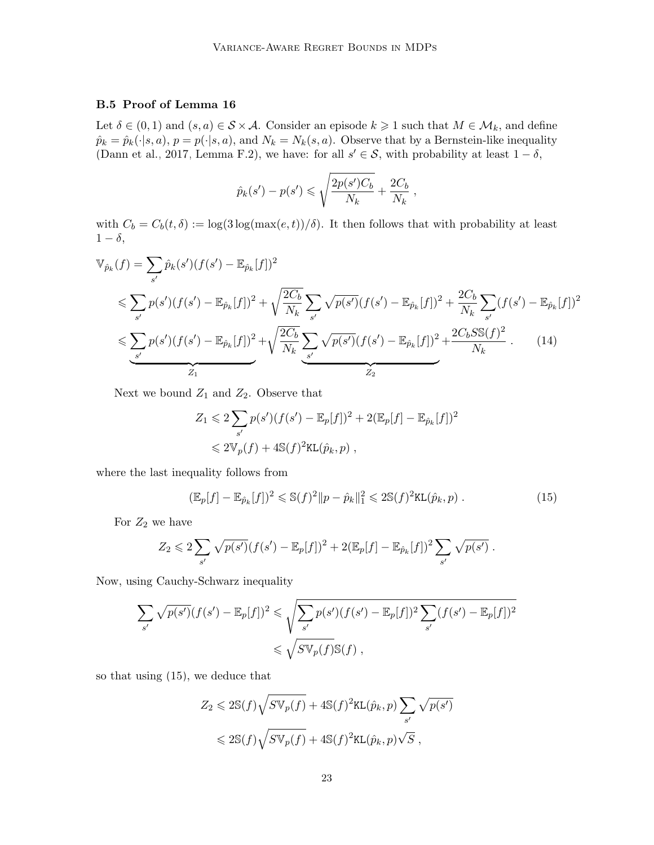# B.5 Proof of Lemma [16](#page-9-0)

Let  $\delta \in (0,1)$  and  $(s, a) \in \mathcal{S} \times \mathcal{A}$ . Consider an episode  $k \geq 1$  such that  $M \in \mathcal{M}_k$ , and define  $\hat{p}_k = \hat{p}_k(\cdot|s, a), p = p(\cdot|s, a),$  and  $N_k = N_k(s, a)$ . Observe that by a Bernstein-like inequality [\(Dann et al., 2017,](#page-13-10) Lemma F.2), we have: for all  $s' \in S$ , with probability at least  $1 - \delta$ ,

$$
\hat{p}_k(s') - p(s') \le \sqrt{\frac{2p(s')C_b}{N_k}} + \frac{2C_b}{N_k},
$$

with  $C_b = C_b(t, \delta) := \log(3 \log(\max(e, t))/\delta)$ . It then follows that with probability at least  $1 - \delta$ ,

$$
\mathbb{V}_{\hat{p}_k}(f) = \sum_{s'} \hat{p}_k(s')(f(s') - \mathbb{E}_{\hat{p}_k}[f])^2
$$
  
\n
$$
\leq \sum_{s'} p(s')(f(s') - \mathbb{E}_{\hat{p}_k}[f])^2 + \sqrt{\frac{2C_b}{N_k}} \sum_{s'} \sqrt{p(s')}(f(s') - \mathbb{E}_{\hat{p}_k}[f])^2 + \frac{2C_b}{N_k} \sum_{s'} (f(s') - \mathbb{E}_{\hat{p}_k}[f])^2
$$
  
\n
$$
\leq \underbrace{\sum_{s'} p(s')(f(s') - \mathbb{E}_{\hat{p}_k}[f])^2}_{Z_1} + \sqrt{\frac{2C_b}{N_k}} \underbrace{\sum_{s'} \sqrt{p(s')}(f(s') - \mathbb{E}_{\hat{p}_k}[f])^2}_{Z_2} + \frac{2C_b S \mathbb{S}(f)^2}{N_k}.
$$
 (14)

Next we bound  $Z_1$  and  $Z_2$ . Observe that

$$
Z_1 \leq 2 \sum_{s'} p(s') (f(s') - \mathbb{E}_p[f])^2 + 2(\mathbb{E}_p[f] - \mathbb{E}_{\hat{p}_k}[f])^2
$$
  

$$
\leq 2 \mathbb{V}_p(f) + 4 \mathbb{S}(f)^2 \text{KL}(\hat{p}_k, p) ,
$$

where the last inequality follows from

<span id="page-22-0"></span>
$$
(\mathbb{E}_p[f] - \mathbb{E}_{\hat{p}_k}[f])^2 \leq \mathbb{S}(f)^2 \|p - \hat{p}_k\|_1^2 \leq 2\mathbb{S}(f)^2 \text{KL}(\hat{p}_k, p) . \tag{15}
$$

For  $Z_2$  we have

$$
Z_2 \leq 2 \sum_{s'} \sqrt{p(s')}(f(s') - \mathbb{E}_p[f])^2 + 2(\mathbb{E}_p[f] - \mathbb{E}_{\hat{p}_k}[f])^2 \sum_{s'} \sqrt{p(s')} .
$$

Now, using Cauchy-Schwarz inequality

$$
\sum_{s'} \sqrt{p(s')} (f(s') - \mathbb{E}_p[f])^2 \leq \sqrt{\sum_{s'} p(s') (f(s') - \mathbb{E}_p[f])^2 \sum_{s'} (f(s') - \mathbb{E}_p[f])^2}
$$
  

$$
\leq \sqrt{S \mathbb{V}_p(f)} \mathbb{S}(f) ,
$$

so that using [\(15\)](#page-22-0), we deduce that

$$
Z_2 \leq 2\mathbb{S}(f)\sqrt{S\mathbb{V}_p(f)} + 4\mathbb{S}(f)^2\text{KL}(\hat{p}_k, p) \sum_{s'} \sqrt{p(s')}
$$

$$
\leq 2\mathbb{S}(f)\sqrt{S\mathbb{V}_p(f)} + 4\mathbb{S}(f)^2\text{KL}(\hat{p}_k, p)\sqrt{S} ,
$$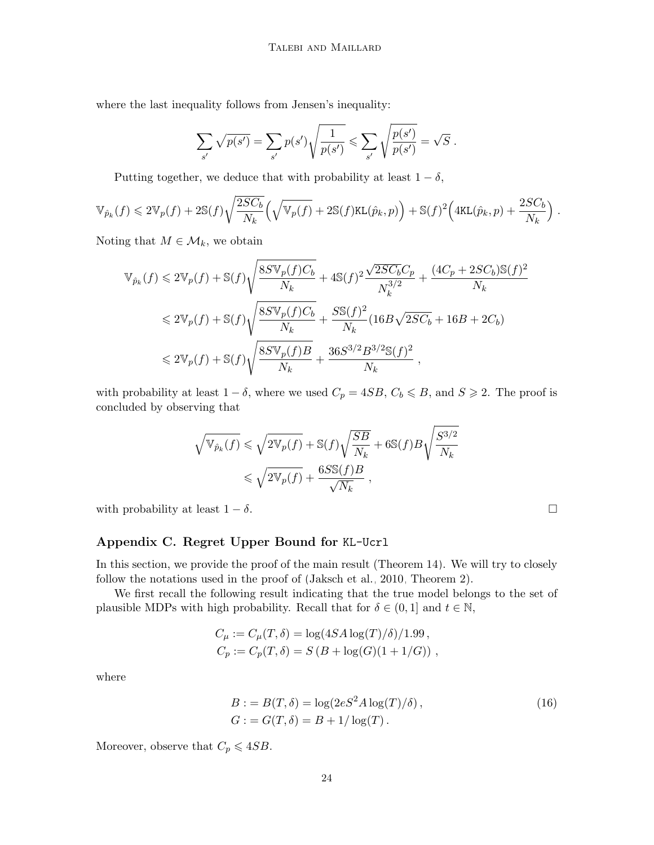where the last inequality follows from Jensen's inequality:

$$
\sum_{s'} \sqrt{p(s')} = \sum_{s'} p(s') \sqrt{\frac{1}{p(s')}} \leq \sum_{s'} \sqrt{\frac{p(s')}{p(s')}} = \sqrt{S} .
$$

Putting together, we deduce that with probability at least  $1 - \delta$ ,

$$
\mathbb{V}_{\hat{p}_k}(f) \leq 2\mathbb{V}_p(f) + 2\mathbb{S}(f)\sqrt{\frac{2SC_b}{N_k}}\Big(\sqrt{\mathbb{V}_p(f)} + 2\mathbb{S}(f)\text{KL}(\hat{p}_k, p)\Big) + \mathbb{S}(f)^2\Big(4\text{KL}(\hat{p}_k, p) + \frac{2SC_b}{N_k}\Big).
$$

Noting that  $M \in \mathcal{M}_k$ , we obtain

$$
\mathbb{V}_{\hat{p}_k}(f) \leq 2\mathbb{V}_p(f) + \mathbb{S}(f)\sqrt{\frac{8S\mathbb{V}_p(f)C_b}{N_k}} + 4\mathbb{S}(f)^2 \frac{\sqrt{2SC_b}C_p}{N_k^3/2} + \frac{(4C_p + 2SC_b)\mathbb{S}(f)^2}{N_k}
$$
  

$$
\leq 2\mathbb{V}_p(f) + \mathbb{S}(f)\sqrt{\frac{8S\mathbb{V}_p(f)C_b}{N_k}} + \frac{S\mathbb{S}(f)^2}{N_k}(16B\sqrt{2SC_b} + 16B + 2C_b)
$$
  

$$
\leq 2\mathbb{V}_p(f) + \mathbb{S}(f)\sqrt{\frac{8S\mathbb{V}_p(f)B}{N_k}} + \frac{36S^{3/2}B^{3/2}\mathbb{S}(f)^2}{N_k},
$$

with probability at least  $1 - \delta$ , where we used  $C_p = 4SB$ ,  $C_b \le B$ , and  $S \ge 2$ . The proof is concluded by observing that

$$
\begin{aligned} \sqrt{\mathbb{V}_{\hat{p}_k}(f)} &\leqslant \sqrt{2\mathbb{V}_p(f)} + \mathbb{S}(f) \sqrt{\frac{SB}{N_k}} + 6\mathbb{S}(f)B\sqrt{\frac{S^{3/2}}{N_k}} \\ &\leqslant \sqrt{2\mathbb{V}_p(f)} + \frac{6S\mathbb{S}(f)B}{\sqrt{N_k}}\,, \end{aligned}
$$

with probability at least  $1 - \delta$ .

# Appendix C. Regret Upper Bound for KL-Ucrl

In this section, we provide the proof of the main result (Theorem [14\)](#page-8-2). We will try to closely follow the notations used in the proof of [\(Jaksch et al., 2010,](#page-13-0) Theorem 2).

We first recall the following result indicating that the true model belongs to the set of plausible MDPs with high probability. Recall that for  $\delta \in (0,1]$  and  $t \in \mathbb{N}$ ,

$$
C_{\mu} := C_{\mu}(T, \delta) = \log(4SA \log(T)/\delta)/1.99,
$$
  
\n
$$
C_p := C_p(T, \delta) = S(B + \log(G)(1 + 1/G)),
$$

where

$$
B := B(T, \delta) = \log(2eS^2 A \log(T)/\delta),
$$
  
\n
$$
G := G(T, \delta) = B + 1/\log(T).
$$
\n(16)

<span id="page-23-0"></span>Moreover, observe that  $C_p \leqslant 4SB$ .

<span id="page-23-1"></span>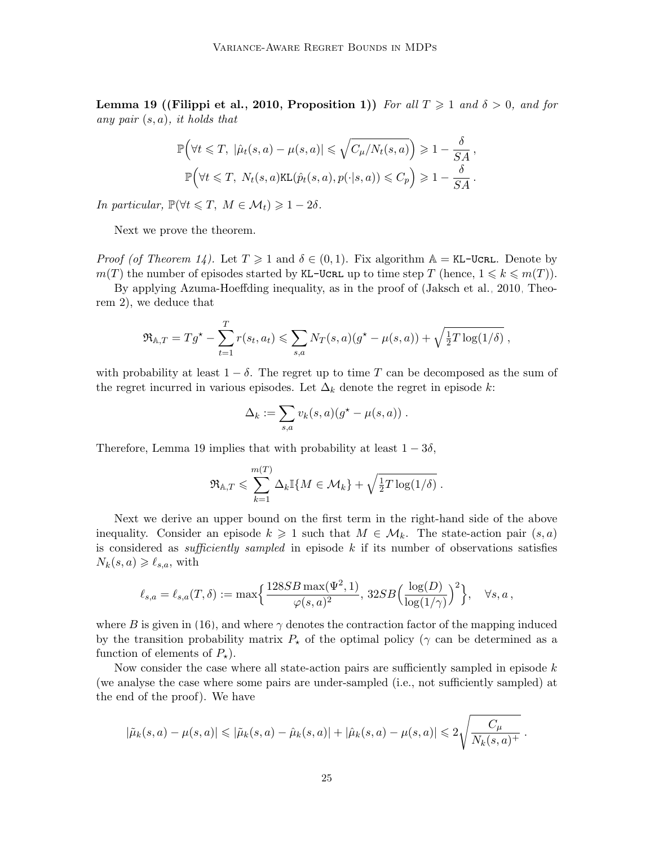**Lemma 19 ([\(Filippi et al., 2010,](#page-13-4) Proposition 1))** For all  $T \geq 1$  and  $\delta > 0$ , and for any pair  $(s, a)$ , it holds that

$$
\mathbb{P}\Big(\forall t \leq T, \ |\hat{\mu}_t(s, a) - \mu(s, a)| \leq \sqrt{C_{\mu}/N_t(s, a)} \Big) \geq 1 - \frac{\delta}{SA},
$$
  

$$
\mathbb{P}\Big(\forall t \leq T, \ N_t(s, a) \text{KL}(\hat{p}_t(s, a), p(\cdot|s, a)) \leq C_p\Big) \geq 1 - \frac{\delta}{SA}.
$$

In particular,  $\mathbb{P}(\forall t \leq T, M \in \mathcal{M}_t) \geq 1 - 2\delta$ .

Next we prove the theorem.

*Proof (of Theorem [14\)](#page-8-2).* Let  $T \geq 1$  and  $\delta \in (0,1)$ . Fix algorithm  $\mathbb{A} = \texttt{KL-UCRL}$ . Denote by  $m(T)$  the number of episodes started by KL-UCRL up to time step T (hence,  $1 \leq k \leq m(T)$ ).

By applying Azuma-Hoeffding inequality, as in the proof of [\(Jaksch et al., 2010,](#page-13-0) Theorem 2), we deduce that

$$
\mathfrak{R}_{\mathbb{A},T} = Tg^{\star} - \sum_{t=1}^T r(s_t, a_t) \leqslant \sum_{s,a} N_T(s,a) (g^{\star} - \mu(s,a)) + \sqrt{\frac{1}{2}T \log(1/\delta)},
$$

with probability at least  $1 - \delta$ . The regret up to time T can be decomposed as the sum of the regret incurred in various episodes. Let  $\Delta_k$  denote the regret in episode k:

$$
\Delta_k := \sum_{s,a} v_k(s,a) (g^* - \mu(s,a)) \; .
$$

Therefore, Lemma [19](#page-23-0) implies that with probability at least  $1 - 3\delta$ ,

$$
\mathfrak{R}_{\mathbb{A},T} \leqslant \sum_{k=1}^{m(T)} \Delta_k \mathbb{I}\{M \in \mathcal{M}_k\} + \sqrt{\frac{1}{2}T \log(1/\delta)}.
$$

Next we derive an upper bound on the first term in the right-hand side of the above inequality. Consider an episode  $k \geq 1$  such that  $M \in \mathcal{M}_k$ . The state-action pair  $(s, a)$ is considered as *sufficiently sampled* in episode  $k$  if its number of observations satisfies  $N_k(s, a) \geqslant \ell_{s,a}$ , with

$$
\ell_{s,a} = \ell_{s,a}(T,\delta) := \max\Bigl\{\frac{128SB\max(\Psi^2,1)}{\varphi(s,a)^2},\, 32SB\Bigl(\frac{\log(D)}{\log(1/\gamma)}\Bigr)^2\Bigr\}, \quad \forall s,a\,,
$$

where B is given in [\(16\)](#page-23-1), and where  $\gamma$  denotes the contraction factor of the mapping induced by the transition probability matrix  $P_{\star}$  of the optimal policy ( $\gamma$  can be determined as a function of elements of  $P_{\star}$ ).

Now consider the case where all state-action pairs are sufficiently sampled in episode  $k$ (we analyse the case where some pairs are under-sampled (i.e., not sufficiently sampled) at the end of the proof). We have

$$
|\tilde{\mu}_k(s,a) - \mu(s,a)| \leq |\tilde{\mu}_k(s,a) - \hat{\mu}_k(s,a)| + |\hat{\mu}_k(s,a) - \mu(s,a)| \leq 2\sqrt{\frac{C_{\mu}}{N_k(s,a)^{+}}}.
$$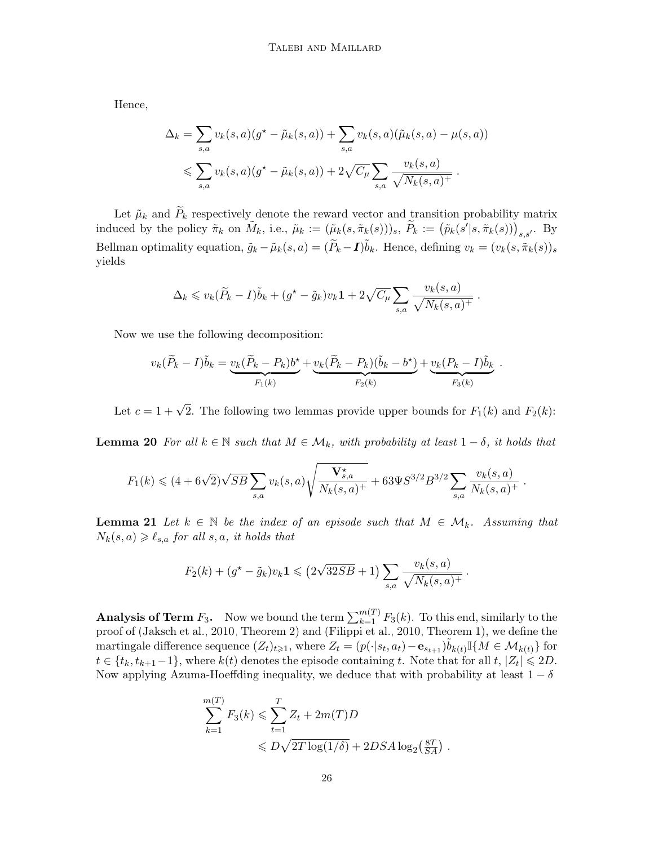Hence,

$$
\Delta_k = \sum_{s,a} v_k(s,a)(g^* - \tilde{\mu}_k(s,a)) + \sum_{s,a} v_k(s,a)(\tilde{\mu}_k(s,a) - \mu(s,a))
$$
  

$$
\leq \sum_{s,a} v_k(s,a)(g^* - \tilde{\mu}_k(s,a)) + 2\sqrt{C_\mu} \sum_{s,a} \frac{v_k(s,a)}{\sqrt{N_k(s,a)^+}}.
$$

Let  $\tilde{\mu}_k$  and  $\tilde{P}_k$  respectively denote the reward vector and transition probability matrix induced by the policy  $\tilde{\pi}_k$  on  $\tilde{M}_k$ , i.e.,  $\tilde{\mu}_k := (\tilde{\mu}_k(s, \tilde{\pi}_k(s)))_s$ ,  $\tilde{P}_k := (\tilde{p}_k(s'|s, \tilde{\pi}_k(s)))_{s,s'}$ . By Bellman optimality equation,  $\tilde{g}_k - \tilde{\mu}_k(s, a) = (\tilde{P}_k - I)\tilde{b}_k$ . Hence, defining  $v_k = (v_k(s, \tilde{\pi}_k(s))_s$ yields

$$
\Delta_k \leq v_k(\widetilde{P}_k - I)\widetilde{b}_k + (g^* - \widetilde{g}_k)v_k \mathbf{1} + 2\sqrt{C_\mu} \sum_{s,a} \frac{v_k(s,a)}{\sqrt{N_k(s,a)^+}}.
$$

Now we use the following decomposition:

$$
v_k(\widetilde{P}_k - I)\widetilde{b}_k = \underbrace{v_k(\widetilde{P}_k - P_k)b^\star}_{F_1(k)} + \underbrace{v_k(\widetilde{P}_k - P_k)(\widetilde{b}_k - b^\star)}_{F_2(k)} + \underbrace{v_k(P_k - I)\widetilde{b}_k}_{F_3(k)}
$$

Let  $c = 1 + \sqrt{2}$ . The following two lemmas provide upper bounds for  $F_1(k)$  and  $F_2(k)$ :

.

<span id="page-25-0"></span>**Lemma 20** For all  $k \in \mathbb{N}$  such that  $M \in \mathcal{M}_k$ , with probability at least  $1 - \delta$ , it holds that

$$
F_1(k) \leqslant (4+6\sqrt{2})\sqrt{SB} \sum_{s,a} v_k(s,a) \sqrt{\frac{\mathbf{V}_{s,a}^{\star}}{N_k(s,a)^+}} + 63\Psi S^{3/2} B^{3/2} \sum_{s,a} \frac{v_k(s,a)}{N_k(s,a)^+}.
$$

<span id="page-25-1"></span>**Lemma 21** Let  $k \in \mathbb{N}$  be the index of an episode such that  $M \in \mathcal{M}_k$ . Assuming that  $N_k(s, a) \geq \ell_{s,a}$  for all s, a, it holds that

$$
F_2(k) + (g^* - \tilde{g}_k)v_k \mathbf{1} \leq (2\sqrt{32SB} + 1) \sum_{s,a} \frac{v_k(s,a)}{\sqrt{N_k(s,a)^+}}.
$$

**Analysis of Term**  $F_3$ . Now we bound the term  $\sum_{k=1}^{m(T)} F_3(k)$ . To this end, similarly to the proof of [\(Jaksch et al., 2010,](#page-13-0) Theorem 2) and [\(Filippi et al., 2010,](#page-13-4) Theorem 1), we define the martingale difference sequence  $(Z_t)_{t\geqslant1}$ , where  $Z_t = (p(\cdot|s_t, a_t) - \mathbf{e}_{s_{t+1}})\tilde{b}_{k(t)}\mathbb{I}\{M \in \mathcal{M}_{k(t)}\}$  for  $t \in \{t_k, t_{k+1}-1\}$ , where  $k(t)$  denotes the episode containing t. Note that for all  $t, |Z_t| \leq 2D$ . Now applying Azuma-Hoeffding inequality, we deduce that with probability at least  $1 - \delta$ 

$$
\sum_{k=1}^{m(T)} F_3(k) \leqslant \sum_{t=1}^{T} Z_t + 2m(T)D
$$
  
 
$$
\leqslant D\sqrt{2T \log(1/\delta)} + 2DSA \log_2\left(\frac{8T}{SA}\right).
$$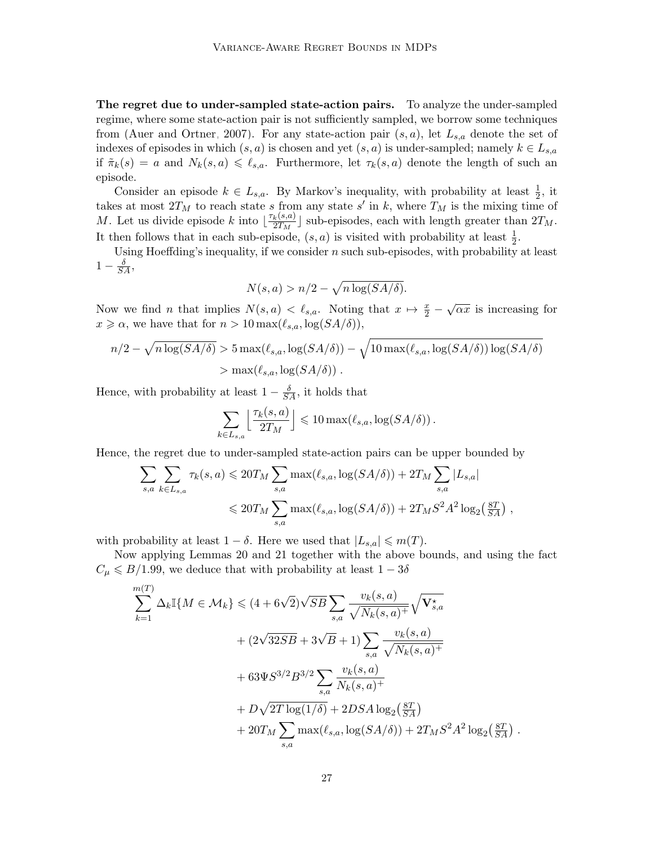The regret due to under-sampled state-action pairs. To analyze the under-sampled regime, where some state-action pair is not sufficiently sampled, we borrow some techniques from [\(Auer and Ortner, 2007\)](#page-12-0). For any state-action pair  $(s, a)$ , let  $L_{s,a}$  denote the set of indexes of episodes in which  $(s, a)$  is chosen and yet  $(s, a)$  is under-sampled; namely  $k \in L_{s,a}$ if  $\tilde{\pi}_k(s) = a$  and  $N_k(s, a) \leq \ell_{s,a}$ . Furthermore, let  $\tau_k(s, a)$  denote the length of such an episode.

Consider an episode  $k \in L_{s,a}$ . By Markov's inequality, with probability at least  $\frac{1}{2}$ , it takes at most  $2T_M$  to reach state s from any state s' in k, where  $T_M$  is the mixing time of M. Let us divide episode k into  $\frac{\tau_k(s,a)}{2T_{k}}$  $\frac{k(8,a)}{2T_M}$  sub-episodes, each with length greater than  $2T_M$ . It then follows that in each sub-episode,  $(s, a)$  is visited with probability at least  $\frac{1}{2}$ .

Using Hoeffding's inequality, if we consider  $n$  such sub-episodes, with probability at least  $1-\frac{\delta}{SA},$ 

$$
N(s, a) > n/2 - \sqrt{n \log(SA/\delta)}.
$$

Now we find *n* that implies  $N(s, a) < \ell_{s,a}$ . Noting that  $x \mapsto \frac{x}{2} - \sqrt{\alpha x}$  is increasing for  $x \geq \alpha$ , we have that for  $n > 10 \max(\ell_{s,a}, \log(SA/\delta)),$ 

$$
n/2 - \sqrt{n \log(SA/\delta)} > 5 \max(\ell_{s,a}, \log(SA/\delta)) - \sqrt{10 \max(\ell_{s,a}, \log(SA/\delta)) \log(SA/\delta)}
$$
  
> 
$$
\max(\ell_{s,a}, \log(SA/\delta)).
$$

Hence, with probability at least  $1 - \frac{\delta}{SA}$ , it holds that

$$
\sum_{k \in L_{s,a}} \left\lfloor \frac{\tau_k(s,a)}{2T_M} \right\rfloor \leqslant 10 \max(\ell_{s,a}, \log(SA/\delta)).
$$

Hence, the regret due to under-sampled state-action pairs can be upper bounded by

$$
\sum_{s,a} \sum_{k \in L_{s,a}} \tau_k(s,a) \leq 20T_M \sum_{s,a} \max(\ell_{s,a}, \log(SA/\delta)) + 2T_M \sum_{s,a} |L_{s,a}|
$$
  

$$
\leq 20T_M \sum_{s,a} \max(\ell_{s,a}, \log(SA/\delta)) + 2T_M S^2 A^2 \log_2(\frac{8T}{SA}),
$$

with probability at least  $1 - \delta$ . Here we used that  $|L_{s,a}| \leqslant m(T)$ .

Now applying Lemmas [20](#page-25-0) and [21](#page-25-1) together with the above bounds, and using the fact  $C_{\mu} \le B/1.99$ , we deduce that with probability at least  $1 - 3\delta$ 

$$
\sum_{k=1}^{m(T)} \Delta_k \mathbb{I}\{M \in \mathcal{M}_k\} \leq (4 + 6\sqrt{2})\sqrt{SB} \sum_{s,a} \frac{v_k(s,a)}{\sqrt{N_k(s,a)^+}} \sqrt{\mathbf{V}_{s,a}^{\star}}
$$
  
+  $(2\sqrt{32SB} + 3\sqrt{B} + 1) \sum_{s,a} \frac{v_k(s,a)}{\sqrt{N_k(s,a)^+}}$   
+  $63\Psi S^{3/2} B^{3/2} \sum_{s,a} \frac{v_k(s,a)}{N_k(s,a)^+}$   
+  $D\sqrt{2T \log(1/\delta)} + 2DSA \log_2(\frac{8T}{SA})$   
+  $20T_M \sum_{s,a} \max(\ell_{s,a}, \log(SA/\delta)) + 2T_M S^2 A^2 \log_2(\frac{8T}{SA})$ 

.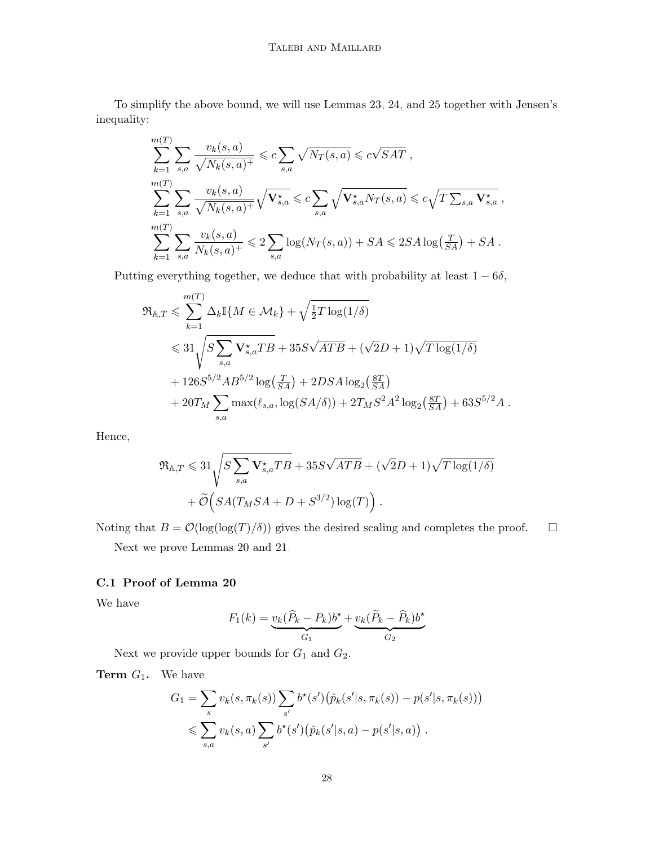To simplify the above bound, we will use Lemmas [23,](#page-31-1) [24,](#page-32-0) and [25](#page-32-1) together with Jensen's inequality:

$$
\sum_{k=1}^{m(T)} \sum_{s,a} \frac{v_k(s,a)}{\sqrt{N_k(s,a)^+}} \leqslant c \sum_{s,a} \sqrt{N_T(s,a)} \leqslant c\sqrt{SAT},
$$
\n
$$
\sum_{k=1}^{m(T)} \sum_{s,a} \frac{v_k(s,a)}{\sqrt{N_k(s,a)^+}} \sqrt{\mathbf{V}_{s,a}^{\star}} \leqslant c \sum_{s,a} \sqrt{\mathbf{V}_{s,a}^{\star} N_T(s,a)} \leqslant c\sqrt{T \sum_{s,a} \mathbf{V}_{s,a}^{\star}},
$$
\n
$$
\sum_{k=1}^{m(T)} \sum_{s,a} \frac{v_k(s,a)}{N_k(s,a)^+} \leqslant 2 \sum_{s,a} \log(N_T(s,a)) + SA \leqslant 2SA \log\left(\frac{T}{SA}\right) + SA.
$$

Putting everything together, we deduce that with probability at least  $1 - 6\delta$ ,

$$
\mathfrak{R}_{A,T} \leqslant \sum_{k=1}^{m(T)} \Delta_k \mathbb{I}\{M \in \mathcal{M}_k\} + \sqrt{\frac{1}{2}T \log(1/\delta)}
$$
\n
$$
\leqslant 31 \sqrt{S \sum_{s,a} \mathbf{V}_{s,a}^{\star} T B} + 35S\sqrt{ATB} + (\sqrt{2}D + 1)\sqrt{T \log(1/\delta)}
$$
\n
$$
+ 126S^{5/2}AB^{5/2} \log\left(\frac{T}{SA}\right) + 2DSA \log_2\left(\frac{8T}{SA}\right)
$$
\n
$$
+ 20T_M \sum_{s,a} \max(\ell_{s,a}, \log(SA/\delta)) + 2T_M S^2 A^2 \log_2\left(\frac{8T}{SA}\right) + 63S^{5/2}A.
$$

Hence,

$$
\mathfrak{R}_{A,T} \leqslant 31 \sqrt{S \sum_{s,a} \mathbf{V}^*_{s,a} T B} + 35 S \sqrt{ATB} + (\sqrt{2}D + 1) \sqrt{T \log(1/\delta)}
$$

$$
+ \widetilde{\mathcal{O}} \Big( SA(T_M SA + D + S^{3/2}) \log(T) \Big) .
$$

Noting that  $B = \mathcal{O}(\log(\log(T)/\delta))$  gives the desired scaling and completes the proof.  $\square$ 

Next we prove Lemmas [20](#page-25-0) and [21.](#page-25-1)

# C.1 Proof of Lemma [20](#page-25-0)

We have

$$
F_1(k) = \underbrace{v_k(\widehat{P}_k - P_k)b^\star}_{G_1} + \underbrace{v_k(\widetilde{P}_k - \widehat{P}_k)b^\star}_{G_2}
$$

Next we provide upper bounds for  $G_1$  and  $G_2$ .

**Term**  $G_1$ . We have

$$
G_1 = \sum_s v_k(s, \pi_k(s)) \sum_{s'} b^*(s') (\hat{p}_k(s'|s, \pi_k(s)) - p(s'|s, \pi_k(s)))
$$
  

$$
\leqslant \sum_{s,a} v_k(s,a) \sum_{s'} b^*(s') (\hat{p}_k(s'|s,a) - p(s'|s,a)).
$$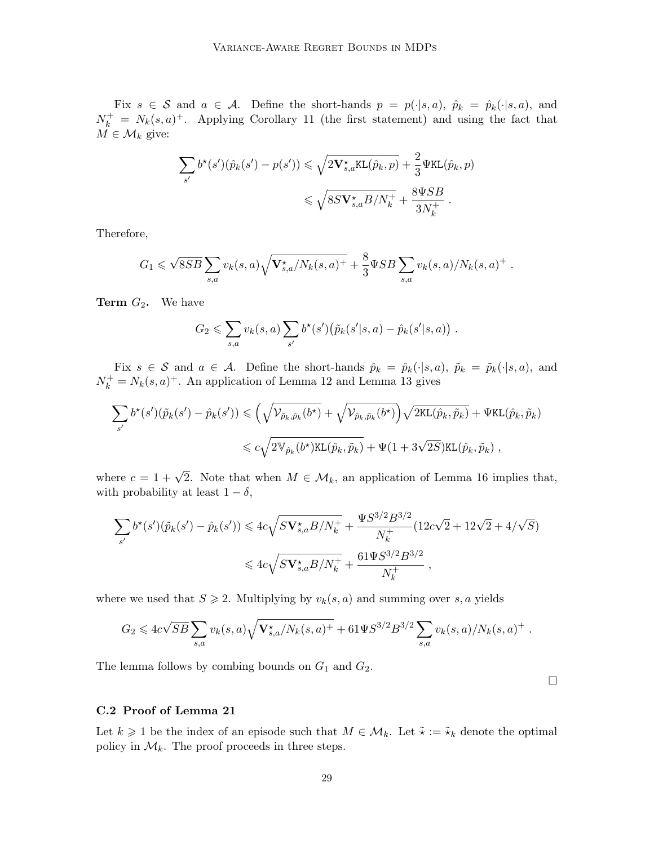Fix  $s \in \mathcal{S}$  and  $a \in \mathcal{A}$ . Define the short-hands  $p = p(\cdot|s, a)$ ,  $\hat{p}_k = \hat{p}_k(\cdot|s, a)$ , and  $N_k^+ = N_k(s,a)^+$ . Applying Corollary [11](#page-7-1) (the first statement) and using the fact that  $M \in \mathcal{M}_k$  give:

$$
\sum_{s'} b^{\star}(s')(\hat{p}_k(s') - p(s')) \leqslant \sqrt{2\mathbf{V}^{\star}_{s,a}\text{KL}(\hat{p}_k, p)} + \frac{2}{3}\Psi \text{KL}(\hat{p}_k, p)
$$

$$
\leqslant \sqrt{8S\mathbf{V}^{\star}_{s,a}B/N_k^+} + \frac{8\Psi SB}{3N_k^+}.
$$

Therefore,

$$
G_1 \leqslant \sqrt{8SB} \sum_{s,a} v_k(s,a) \sqrt{\mathbf{V}_{s,a}^{\star} / N_k(s,a)^+} + \frac{8}{3} \Psi SB \sum_{s,a} v_k(s,a) / N_k(s,a)^+.
$$

**Term**  $G_2$ . We have

$$
G_2 \leqslant \sum_{s,a} v_k(s,a) \sum_{s'} b^*(s') \big( \tilde{p}_k(s'|s,a) - \hat{p}_k(s'|s,a) \big) .
$$

Fix  $s \in \mathcal{S}$  and  $a \in \mathcal{A}$ . Define the short-hands  $\hat{p}_k = \hat{p}_k(\cdot|s, a)$ ,  $\tilde{p}_k = \tilde{p}_k(\cdot|s, a)$ , and  $N_k^+ = N_k(s, a)^+$ . An application of Lemma [12](#page-7-2) and Lemma [13](#page-7-3) gives

$$
\sum_{s'} b^{\star}(s')(\tilde{p}_k(s') - \hat{p}_k(s')) \leqslant \left(\sqrt{\mathcal{V}_{\tilde{p}_k, \hat{p}_k}(b^{\star})} + \sqrt{\mathcal{V}_{\hat{p}_k, \tilde{p}_k}(b^{\star})}\right) \sqrt{2\text{KL}(\hat{p}_k, \tilde{p}_k)} + \Psi \text{KL}(\hat{p}_k, \tilde{p}_k)
$$
  

$$
\leq c\sqrt{2\mathbb{V}_{\hat{p}_k}(b^{\star})\text{KL}(\hat{p}_k, \tilde{p}_k)} + \Psi(1 + 3\sqrt{2S})\text{KL}(\hat{p}_k, \tilde{p}_k) ,
$$

where  $c = 1 + \sqrt{2}$ . Note that when  $M \in \mathcal{M}_k$ , an application of Lemma [16](#page-9-0) implies that, with probability at least  $1 - \delta$ ,

$$
\sum_{s'} b^*(s')(\tilde{p}_k(s') - \hat{p}_k(s')) \leq 4c\sqrt{SV_{s,a}^{\star}B/N_k^+} + \frac{\Psi S^{3/2}B^{3/2}}{N_k^+} (12c\sqrt{2} + 12\sqrt{2} + 4/\sqrt{S})
$$
  

$$
\leq 4c\sqrt{SV_{s,a}^{\star}B/N_k^+} + \frac{61\Psi S^{3/2}B^{3/2}}{N_k^+},
$$

where we used that  $S \ge 2$ . Multiplying by  $v_k(s, a)$  and summing over s, a yields

$$
G_2 \leqslant 4c\sqrt{SB} \sum_{s,a} v_k(s,a) \sqrt{\mathbf{V}_{s,a}^{\star}/N_k(s,a)^+} + 61 \Psi S^{3/2} B^{3/2} \sum_{s,a} v_k(s,a) / N_k(s,a)^+.
$$

 $\Box$ 

The lemma follows by combing bounds on  $G_1$  and  $G_2$ .

### C.2 Proof of Lemma [21](#page-25-1)

Let  $k \geq 1$  be the index of an episode such that  $M \in \mathcal{M}_k$ . Let  $\tilde{\star} := \tilde{\star}_k$  denote the optimal policy in  $\mathcal{M}_k$ . The proof proceeds in three steps.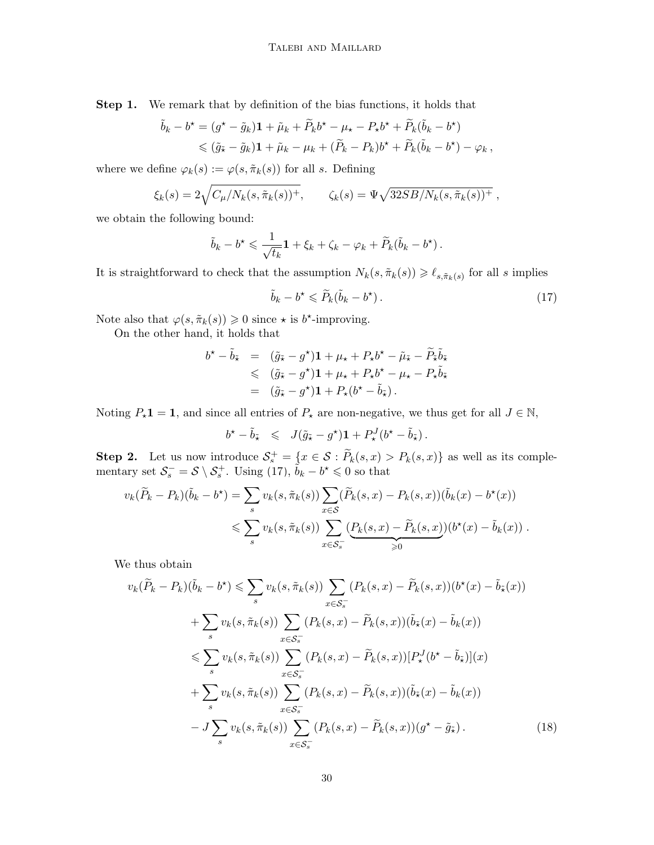Step 1. We remark that by definition of the bias functions, it holds that

$$
\tilde{b}_k - b^\star = (g^\star - \tilde{g}_k)\mathbf{1} + \tilde{\mu}_k + \tilde{P}_k b^\star - \mu_\star - P_\star b^\star + \tilde{P}_k(\tilde{b}_k - b^\star) \leq (\tilde{g}_\star - \tilde{g}_k)\mathbf{1} + \tilde{\mu}_k - \mu_k + (\tilde{P}_k - P_k)b^\star + \tilde{P}_k(\tilde{b}_k - b^\star) - \varphi_k,
$$

where we define  $\varphi_k(s) := \varphi(s, \tilde{\pi}_k(s))$  for all s. Defining

$$
\xi_k(s) = 2\sqrt{C_\mu/N_k(s, \tilde{\pi}_k(s))^+}, \qquad \zeta_k(s) = \Psi\sqrt{32SB/N_k(s, \tilde{\pi}_k(s))^+},
$$

we obtain the following bound:

$$
\tilde{b}_k - b^* \leq \frac{1}{\sqrt{t_k}} \mathbf{1} + \xi_k + \zeta_k - \varphi_k + \widetilde{P}_k(\tilde{b}_k - b^*).
$$

It is straightforward to check that the assumption  $N_k(s, \tilde{\pi}_k(s)) \geq \ell_{s, \tilde{\pi}_k(s)}$  for all s implies

<span id="page-29-0"></span>
$$
\tilde{b}_k - b^\star \leqslant \tilde{P}_k(\tilde{b}_k - b^\star). \tag{17}
$$

Note also that  $\varphi(s, \tilde{\pi}_k(s)) \geq 0$  since  $\star$  is b<sup>\*</sup>-improving.

On the other hand, it holds that

$$
b^{\star} - \tilde{b}_{\tilde{\star}} = (\tilde{g}_{\tilde{\star}} - g^{\star}) \mathbf{1} + \mu_{\star} + P_{\star} b^{\star} - \tilde{\mu}_{\tilde{\star}} - \tilde{P}_{\tilde{\star}} \tilde{b}_{\tilde{\star}} \n\leq (\tilde{g}_{\tilde{\star}} - g^{\star}) \mathbf{1} + \mu_{\star} + P_{\star} b^{\star} - \mu_{\star} - P_{\star} \tilde{b}_{\tilde{\star}} \n= (\tilde{g}_{\tilde{\star}} - g^{\star}) \mathbf{1} + P_{\star} (b^{\star} - \tilde{b}_{\tilde{\star}}).
$$

Noting  $P_{\star}1 = 1$ , and since all entries of  $P_{\star}$  are non-negative, we thus get for all  $J \in \mathbb{N}$ ,

$$
b^{\star} - \tilde{b}_{\tilde{\star}} \leqslant J(\tilde{g}_{\tilde{\star}} - g^{\star}) \mathbf{1} + P_{\star}^{J}(b^{\star} - \tilde{b}_{\tilde{\star}}).
$$

Step 2. Let us now introduce  $S^+_{s} = \{x \in S : \tilde{P}_k(s,x) > P_k(s,x)\}\$ as well as its complementary set  $S_s^- = S \setminus S_s^+$ . Using [\(17\)](#page-29-0),  $\tilde{b}_k - b^* \leq 0$  so that

$$
v_k(\widetilde{P}_k - P_k)(\widetilde{b}_k - b^*) = \sum_s v_k(s, \widetilde{\pi}_k(s)) \sum_{x \in \mathcal{S}} (\widetilde{P}_k(s, x) - P_k(s, x))(\widetilde{b}_k(x) - b^*(x))
$$
  

$$
\leqslant \sum_s v_k(s, \widetilde{\pi}_k(s)) \sum_{x \in \mathcal{S}_s^-} (\underbrace{P_k(s, x) - \widetilde{P}_k(s, x)}_{\geqslant 0}) (b^*(x) - \widetilde{b}_k(x)) .
$$

We thus obtain

$$
v_k(\widetilde{P}_k - P_k)(\widetilde{b}_k - b^*) \leqslant \sum_{s} v_k(s, \widetilde{\pi}_k(s)) \sum_{x \in \mathcal{S}_s^-} (P_k(s, x) - \widetilde{P}_k(s, x))(b^*(x) - \widetilde{b}_{\tilde{\star}}(x))
$$
  
+ 
$$
\sum_{s} v_k(s, \widetilde{\pi}_k(s)) \sum_{x \in \mathcal{S}_s^-} (P_k(s, x) - \widetilde{P}_k(s, x))(\widetilde{b}_{\tilde{\star}}(x) - \widetilde{b}_k(x))
$$
  

$$
\leqslant \sum_{s} v_k(s, \widetilde{\pi}_k(s)) \sum_{x \in \mathcal{S}_s^-} (P_k(s, x) - \widetilde{P}_k(s, x)) [P_{\star}^J(b^* - \widetilde{b}_{\tilde{\star}})](x)
$$
  
+ 
$$
\sum_{s} v_k(s, \widetilde{\pi}_k(s)) \sum_{x \in \mathcal{S}_s^-} (P_k(s, x) - \widetilde{P}_k(s, x))(\widetilde{b}_{\tilde{\star}}(x) - \widetilde{b}_k(x))
$$
  
- 
$$
J \sum_{s} v_k(s, \widetilde{\pi}_k(s)) \sum_{x \in \mathcal{S}_s^-} (P_k(s, x) - \widetilde{P}_k(s, x)) (g^* - \widetilde{g}_{\tilde{\star}}).
$$
 (18)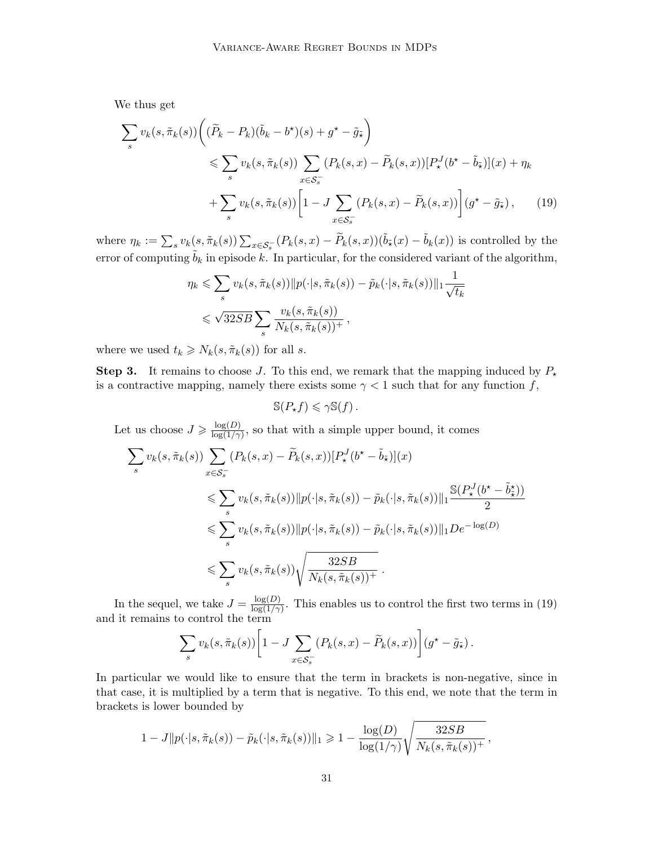We thus get

$$
\sum_{s} v_{k}(s, \tilde{\pi}_{k}(s)) \left( (\tilde{P}_{k} - P_{k})(\tilde{b}_{k} - b^{*})(s) + g^{*} - \tilde{g}_{\tilde{\star}} \right)
$$
\n
$$
\leqslant \sum_{s} v_{k}(s, \tilde{\pi}_{k}(s)) \sum_{x \in S_{s}^{-}} (P_{k}(s, x) - \tilde{P}_{k}(s, x)) [P_{\star}^{J}(b^{*} - \tilde{b}_{\tilde{\star}})](x) + \eta_{k}
$$
\n
$$
+ \sum_{s} v_{k}(s, \tilde{\pi}_{k}(s)) \left[ 1 - J \sum_{x \in S_{s}^{-}} (P_{k}(s, x) - \tilde{P}_{k}(s, x)) \right] (g^{*} - \tilde{g}_{\tilde{\star}}), \qquad (19)
$$

where  $\eta_k := \sum_s v_k(s, \tilde{\pi}_k(s)) \sum_{x \in \mathcal{S}_s^{-}} (P_k(s, x) - \tilde{P}_k(s, x))(\tilde{b}_{\tilde{\star}}(x) - \tilde{b}_{k}(x))$  is controlled by the error of computing  $b_k$  in episode k. In particular, for the considered variant of the algorithm,

$$
\eta_k \leqslant \sum_s v_k(s, \tilde{\pi}_k(s)) \|p(\cdot|s, \tilde{\pi}_k(s)) - \tilde{p}_k(\cdot|s, \tilde{\pi}_k(s))\|_1 \frac{1}{\sqrt{t_k}}
$$
  

$$
\leqslant \sqrt{32SB} \sum_s \frac{v_k(s, \tilde{\pi}_k(s))}{N_k(s, \tilde{\pi}_k(s))^+},
$$

where we used  $t_k \geq N_k(s, \tilde{\pi}_k(s))$  for all s.

**Step 3.** It remains to choose J. To this end, we remark that the mapping induced by  $P_{\star}$ is a contractive mapping, namely there exists some  $\gamma$  < 1 such that for any function f,

<span id="page-30-0"></span> $\mathbb{S}(P_*f) \leq \gamma \mathbb{S}(f)$ .

Let us choose  $J \geqslant \frac{\log(D)}{\log(1/\gamma)}$  $\frac{\log(D)}{\log(1/\gamma)}$ , so that with a simple upper bound, it comes

$$
\sum_{s} v_k(s, \tilde{\pi}_k(s)) \sum_{x \in \mathcal{S}_s^-} (P_k(s, x) - \tilde{P}_k(s, x)) [P_\star^J(b^\star - \tilde{b}_\tilde{x})](x)
$$
\n
$$
\leqslant \sum_{s} v_k(s, \tilde{\pi}_k(s)) \|p(\cdot|s, \tilde{\pi}_k(s)) - \tilde{p}_k(\cdot|s, \tilde{\pi}_k(s))\|_1 \frac{\mathbb{S}(P_\star^J(b^\star - \tilde{b}_\star^*))}{2}
$$
\n
$$
\leqslant \sum_{s} v_k(s, \tilde{\pi}_k(s)) \|p(\cdot|s, \tilde{\pi}_k(s)) - \tilde{p}_k(\cdot|s, \tilde{\pi}_k(s))\|_1 De^{-\log(D)}
$$
\n
$$
\leqslant \sum_{s} v_k(s, \tilde{\pi}_k(s)) \sqrt{\frac{32SB}{N_k(s, \tilde{\pi}_k(s)) + }}.
$$

In the sequel, we take  $J = \frac{\log(D)}{\log(1/\gamma)}$  $\frac{\log(D)}{\log(1/\gamma)}$ . This enables us to control the first two terms in [\(19\)](#page-30-0) and it remains to control the term

$$
\sum_{s} v_k(s, \tilde{\pi}_k(s)) \left[ 1 - J \sum_{x \in \mathcal{S}_s^-} (P_k(s, x) - \tilde{P}_k(s, x)) \right] (g^* - \tilde{g}_{\tilde{\star}}).
$$

In particular we would like to ensure that the term in brackets is non-negative, since in that case, it is multiplied by a term that is negative. To this end, we note that the term in brackets is lower bounded by

$$
1 - J||p(\cdot|s,\tilde{\pi}_k(s)) - \tilde{p}_k(\cdot|s,\tilde{\pi}_k(s))||_1 \geq 1 - \frac{\log(D)}{\log(1/\gamma)}\sqrt{\frac{32SB}{N_k(s,\tilde{\pi}_k(s))^+}},
$$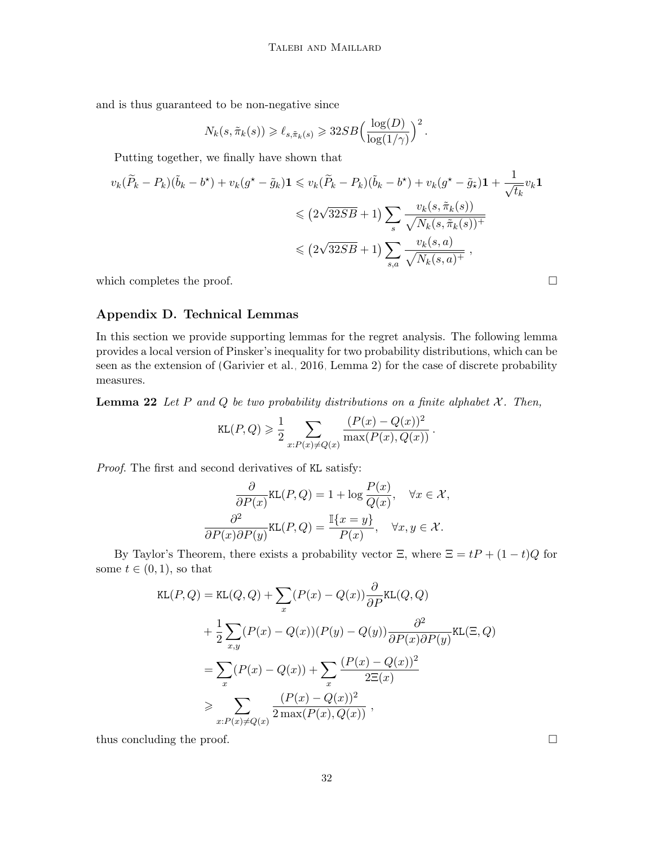and is thus guaranteed to be non-negative since

$$
N_k(s, \tilde{\pi}_k(s)) \geq \ell_{s, \tilde{\pi}_k(s)} \geqslant 32SB \Big(\frac{\log(D)}{\log(1/\gamma)}\Big)^2.
$$

Putting together, we finally have shown that

$$
v_k(\widetilde{P}_k - P_k)(\widetilde{b}_k - b^*) + v_k(g^* - \widetilde{g}_k)\mathbf{1} \leq v_k(\widetilde{P}_k - P_k)(\widetilde{b}_k - b^*) + v_k(g^* - \widetilde{g}_{\widetilde{\star}})\mathbf{1} + \frac{1}{\sqrt{t_k}}v_k\mathbf{1}
$$
  

$$
\leq (2\sqrt{32SB} + 1)\sum_s \frac{v_k(s, \widetilde{\pi}_k(s))}{\sqrt{N_k(s, \widetilde{\pi}_k(s))^+}}
$$
  

$$
\leq (2\sqrt{32SB} + 1)\sum_{s,a} \frac{v_k(s,a)}{\sqrt{N_k(s,a)^+}},
$$

which completes the proof.  $\Box$ 

# Appendix D. Technical Lemmas

In this section we provide supporting lemmas for the regret analysis. The following lemma provides a local version of Pinsker's inequality for two probability distributions, which can be seen as the extension of [\(Garivier et al., 2016,](#page-13-13) Lemma 2) for the case of discrete probability measures.

<span id="page-31-0"></span>**Lemma 22** Let P and Q be two probability distributions on a finite alphabet  $X$ . Then,

$$
\text{KL}(P,Q) \geqslant \frac{1}{2} \sum_{x:P(x)\neq Q(x)} \frac{(P(x)-Q(x))^2}{\max(P(x),Q(x))} \, .
$$

Proof. The first and second derivatives of KL satisfy:

$$
\frac{\partial}{\partial P(x)} \text{KL}(P, Q) = 1 + \log \frac{P(x)}{Q(x)}, \quad \forall x \in \mathcal{X},
$$

$$
\frac{\partial^2}{\partial P(x) \partial P(y)} \text{KL}(P, Q) = \frac{\mathbb{I}\{x = y\}}{P(x)}, \quad \forall x, y \in \mathcal{X}.
$$

By Taylor's Theorem, there exists a probability vector  $\Xi$ , where  $\Xi = tP + (1-t)Q$  for some  $t \in (0,1)$ , so that

$$
\text{KL}(P, Q) = \text{KL}(Q, Q) + \sum_{x} (P(x) - Q(x)) \frac{\partial}{\partial P} \text{KL}(Q, Q)
$$
  
+ 
$$
\frac{1}{2} \sum_{x,y} (P(x) - Q(x))(P(y) - Q(y)) \frac{\partial^2}{\partial P(x) \partial P(y)} \text{KL}(\Xi, Q)
$$
  
= 
$$
\sum_{x} (P(x) - Q(x)) + \sum_{x} \frac{(P(x) - Q(x))^2}{2\Xi(x)}
$$
  

$$
\geq \sum_{x:P(x) \neq Q(x)} \frac{(P(x) - Q(x))^2}{2 \max(P(x), Q(x))},
$$

<span id="page-31-1"></span>thus concluding the proof.  $\Box$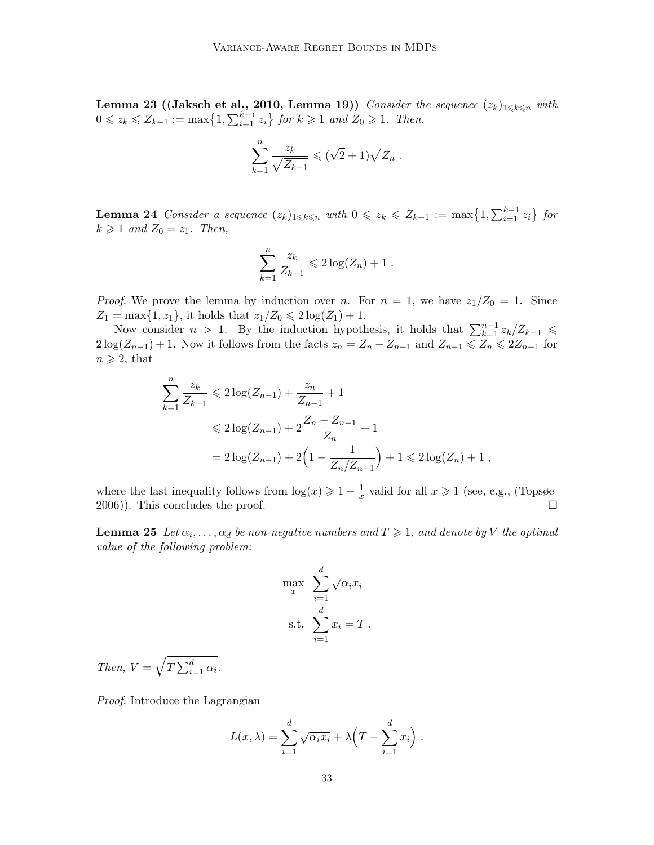Lemma 23 ([\(Jaksch et al., 2010,](#page-13-0) Lemma 19)) Consider the sequence  $(z_k)_{1\leq k\leq n}$  with  $0 \leq z_k \leq Z_{k-1} := \max\bigl\{1, \sum_{i=1}^{k-1} z_i\bigr\}$  for  $k \geqslant 1$  and  $Z_0 \geqslant 1$ . Then,

$$
\sum_{k=1}^n \frac{z_k}{\sqrt{Z_{k-1}}} \leqslant (\sqrt{2}+1)\sqrt{Z_n} .
$$

<span id="page-32-0"></span>**Lemma 24** Consider a sequence  $(z_k)_{1\leq k\leq n}$  with  $0 \leq z_k \leq Z_{k-1} := \max\{1, \sum_{i=1}^{k-1} z_i\}$  for  $k \geqslant 1$  and  $Z_0 = z_1$ . Then,

$$
\sum_{k=1}^n \frac{z_k}{Z_{k-1}} \leqslant 2\log(Z_n) + 1.
$$

*Proof.* We prove the lemma by induction over n. For  $n = 1$ , we have  $z_1/Z_0 = 1$ . Since  $Z_1 = \max\{1, z_1\}$ , it holds that  $z_1/Z_0 \leq 2\log(Z_1) + 1$ .

Now consider  $n > 1$ . By the induction hypothesis, it holds that  $\sum_{k=1}^{n-1} z_k/Z_{k-1} \leq$  $2\log(Z_{n-1}) + 1$ . Now it follows from the facts  $z_n = Z_n - Z_{n-1}$  and  $Z_{n-1} \le Z_n \le 2Z_{n-1}$  for  $n \geqslant 2$ , that

$$
\sum_{k=1}^{n} \frac{z_k}{Z_{k-1}} \leq 2 \log(Z_{n-1}) + \frac{z_n}{Z_{n-1}} + 1
$$
  

$$
\leq 2 \log(Z_{n-1}) + 2 \frac{Z_n - Z_{n-1}}{Z_n} + 1
$$
  

$$
= 2 \log(Z_{n-1}) + 2 \left(1 - \frac{1}{Z_n/Z_{n-1}}\right) + 1 \leq 2 \log(Z_n) + 1,
$$

where the last inequality follows from  $\log(x) \geq 1 - \frac{1}{x}$  $\frac{1}{x}$  valid for all  $x \geq 1$  (see, e.g., [\(Topsøe,](#page-14-6) [2006\)](#page-14-6)). This concludes the proof.  $\square$ 

<span id="page-32-1"></span>**Lemma 25** Let  $\alpha_i, \ldots, \alpha_d$  be non-negative numbers and  $T \geq 1$ , and denote by V the optimal value of the following problem:

$$
\max_{x} \sum_{i=1}^{d} \sqrt{\alpha_i x_i}
$$
  
s.t. 
$$
\sum_{i=1}^{d} x_i = T.
$$

Then,  $V = \sqrt{T \sum_{i=1}^{d} \alpha_i}$ .

Proof. Introduce the Lagrangian

$$
L(x,\lambda) = \sum_{i=1}^d \sqrt{\alpha_i x_i} + \lambda \left( T - \sum_{i=1}^d x_i \right).
$$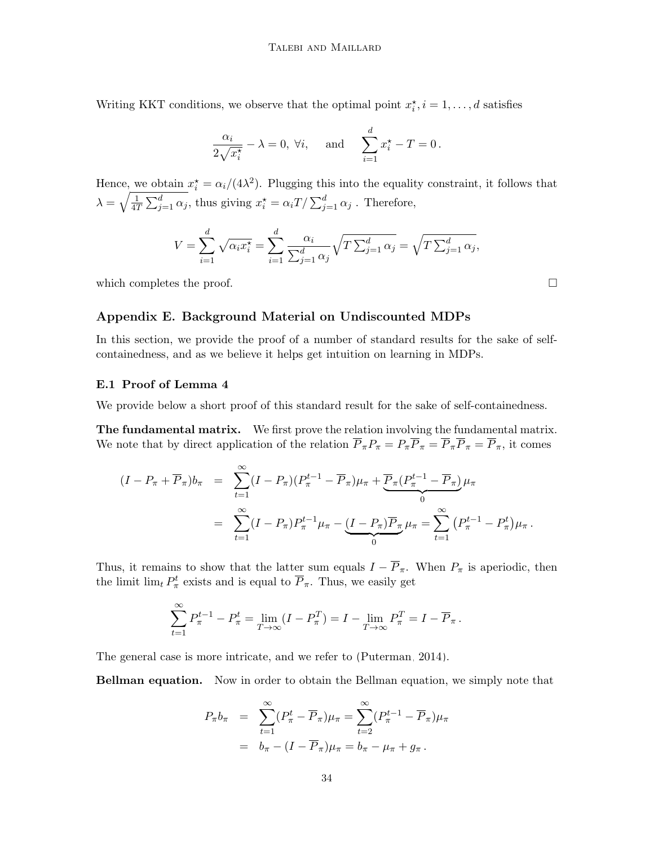Writing KKT conditions, we observe that the optimal point  $x_i^{\star}$ ,  $i = 1, \ldots, d$  satisfies

$$
\frac{\alpha_i}{2\sqrt{x_i^{\star}}} - \lambda = 0, \ \forall i, \quad \text{and} \quad \sum_{i=1}^d x_i^{\star} - T = 0 \, .
$$

Hence, we obtain  $x_i^* = \alpha_i/(4\lambda^2)$ . Plugging this into the equality constraint, it follows that  $\lambda = \sqrt{\frac{1}{47}}$  $\frac{1}{4T}\sum_{j=1}^d \alpha_j$ , thus giving  $x_i^* = \alpha_i T / \sum_{j=1}^d \alpha_j$ . Therefore,

$$
V = \sum_{i=1}^d \sqrt{\alpha_i x_i^*} = \sum_{i=1}^d \frac{\alpha_i}{\sum_{j=1}^d \alpha_j} \sqrt{T \sum_{j=1}^d \alpha_j} = \sqrt{T \sum_{j=1}^d \alpha_j},
$$

which completes the proof.  $\Box$ 

### Appendix E. Background Material on Undiscounted MDPs

In this section, we provide the proof of a number of standard results for the sake of selfcontainedness, and as we believe it helps get intuition on learning in MDPs.

# E.1 Proof of Lemma [4](#page-3-1)

We provide below a short proof of this standard result for the sake of self-containedness.

The fundamental matrix. We first prove the relation involving the fundamental matrix. We note that by direct application of the relation  $\overline{P}_{\pi}P_{\pi} = P_{\pi}\overline{P}_{\pi} = \overline{P}_{\pi}\overline{P}_{\pi} = \overline{P}_{\pi}$ , it comes

$$
(I - P_{\pi} + \overline{P}_{\pi})b_{\pi} = \sum_{t=1}^{\infty} (I - P_{\pi})(P_{\pi}^{t-1} - \overline{P}_{\pi})\mu_{\pi} + \underbrace{\overline{P}_{\pi}(P_{\pi}^{t-1} - \overline{P}_{\pi})}_{0} \mu_{\pi}
$$
  
= 
$$
\sum_{t=1}^{\infty} (I - P_{\pi})P_{\pi}^{t-1}\mu_{\pi} - \underbrace{(I - P_{\pi})\overline{P}_{\pi}}_{0} \mu_{\pi} = \sum_{t=1}^{\infty} (P_{\pi}^{t-1} - P_{\pi}^{t})\mu_{\pi}.
$$

Thus, it remains to show that the latter sum equals  $I - \overline{P}_{\pi}$ . When  $P_{\pi}$  is aperiodic, then the limit  $\lim_{t} P_{\pi}^{t}$  exists and is equal to  $\overline{P}_{\pi}$ . Thus, we easily get

$$
\sum_{t=1}^{\infty} P_{\pi}^{t-1} - P_{\pi}^{t} = \lim_{T \to \infty} (I - P_{\pi}^{T}) = I - \lim_{T \to \infty} P_{\pi}^{T} = I - \overline{P}_{\pi}.
$$

The general case is more intricate, and we refer to [\(Puterman, 2014\)](#page-14-1).

Bellman equation. Now in order to obtain the Bellman equation, we simply note that

$$
P_{\pi}b_{\pi} = \sum_{t=1}^{\infty} (P_{\pi}^t - \overline{P}_{\pi})\mu_{\pi} = \sum_{t=2}^{\infty} (P_{\pi}^{t-1} - \overline{P}_{\pi})\mu_{\pi}
$$

$$
= b_{\pi} - (I - \overline{P}_{\pi})\mu_{\pi} = b_{\pi} - \mu_{\pi} + g_{\pi}.
$$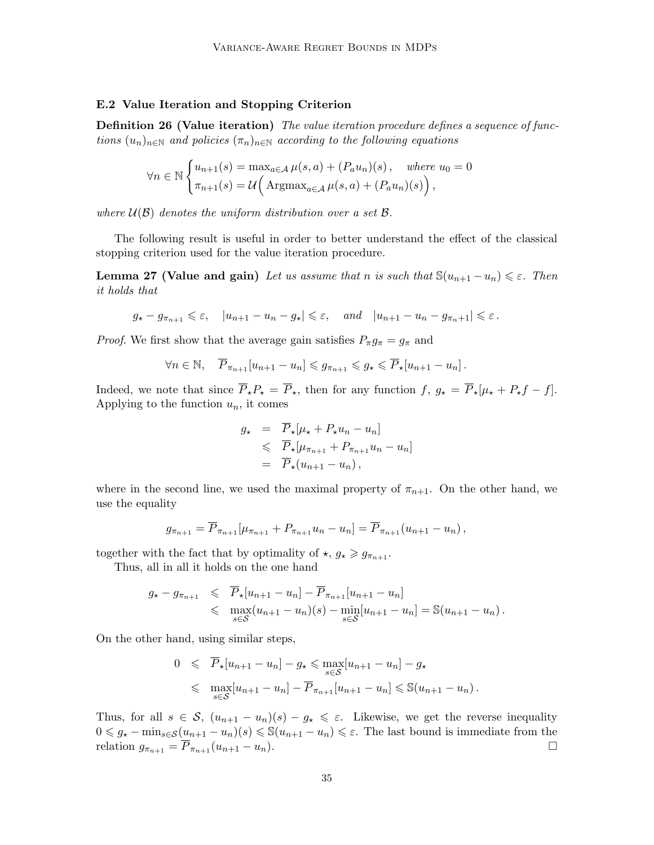## E.2 Value Iteration and Stopping Criterion

**Definition 26 (Value iteration)** The value iteration procedure defines a sequence of functions  $(u_n)_{n\in\mathbb{N}}$  and policies  $(\pi_n)_{n\in\mathbb{N}}$  according to the following equations

$$
\forall n \in \mathbb{N} \begin{cases} u_{n+1}(s) = \max_{a \in \mathcal{A}} \mu(s, a) + (P_a u_n)(s), & \text{where } u_0 = 0 \\ \pi_{n+1}(s) = \mathcal{U} \Big( \operatorname{Argmax}_{a \in \mathcal{A}} \mu(s, a) + (P_a u_n)(s) \Big), \end{cases}
$$

where  $U(\beta)$  denotes the uniform distribution over a set  $\beta$ .

The following result is useful in order to better understand the effect of the classical stopping criterion used for the value iteration procedure.

**Lemma 27 (Value and gain)** Let us assume that n is such that  $\mathbb{S}(u_{n+1} - u_n) \leq \varepsilon$ . Then it holds that

$$
g_{\star} - g_{\pi_{n+1}} \leq \varepsilon
$$
,  $|u_{n+1} - u_n - g_{\star}| \leq \varepsilon$ , and  $|u_{n+1} - u_n - g_{\pi_n+1}| \leq \varepsilon$ .

*Proof.* We first show that the average gain satisfies  $P_{\pi}g_{\pi} = g_{\pi}$  and

$$
\forall n \in \mathbb{N}, \quad \overline{P}_{\pi_{n+1}}[u_{n+1}-u_n] \leqslant g_{\pi_{n+1}} \leqslant g_\star \leqslant \overline{P}_\star[u_{n+1}-u_n].
$$

Indeed, we note that since  $\overline{P}_\star P_\star = \overline{P}_\star$ , then for any function  $f, g_\star = \overline{P}_\star [\mu_\star + P_\star f - f].$ Applying to the function  $u_n$ , it comes

$$
g_{\star} = P_{\star}[\mu_{\star} + P_{\star}u_n - u_n]
$$
  
\$\leqslant \overline{P}\_{\star}[\mu\_{\pi\_{n+1}} + P\_{\pi\_{n+1}}u\_n - u\_n]\$  

$$
= \overline{P}_{\star}(u_{n+1} - u_n),
$$

where in the second line, we used the maximal property of  $\pi_{n+1}$ . On the other hand, we use the equality

$$
g_{\pi_{n+1}} = \overline{P}_{\pi_{n+1}}[\mu_{\pi_{n+1}} + P_{\pi_{n+1}}u_n - u_n] = \overline{P}_{\pi_{n+1}}(u_{n+1} - u_n),
$$

together with the fact that by optimality of  $\star$ ,  $g_{\star} \geq g_{\pi_{n+1}}$ .

Thus, all in all it holds on the one hand

$$
g_{\star} - g_{\pi_{n+1}} \leqslant \overline{P}_{\star}[u_{n+1} - u_n] - \overline{P}_{\pi_{n+1}}[u_{n+1} - u_n] \leqslant \max_{s \in \mathcal{S}} (u_{n+1} - u_n)(s) - \min_{s \in \mathcal{S}} [u_{n+1} - u_n] = \mathbb{S}(u_{n+1} - u_n).
$$

On the other hand, using similar steps,

$$
0 \leqslant \overline{P}_\star[u_{n+1} - u_n] - g_\star \leqslant \max_{s \in \mathcal{S}} [u_{n+1} - u_n] - g_\star
$$
  

$$
\leqslant \max_{s \in \mathcal{S}} [u_{n+1} - u_n] - \overline{P}_{\pi_{n+1}}[u_{n+1} - u_n] \leqslant \mathbb{S}(u_{n+1} - u_n).
$$

Thus, for all  $s \in S$ ,  $(u_{n+1} - u_n)(s) - g_{\star} \leq \varepsilon$ . Likewise, we get the reverse inequality  $0 \leq \mathcal{G}_\star - \min_{s \in \mathcal{S}} (\mathcal{u}_{n+1} - \mathcal{u}_n)(s) \leq \mathcal{S}(\mathcal{u}_{n+1} - \mathcal{u}_n) \leq \varepsilon$ . The last bound is immediate from the relation  $g_{\pi_{n+1}} = \overline{P}_{\pi_{n+1}}(u_{n+1} - u_n).$